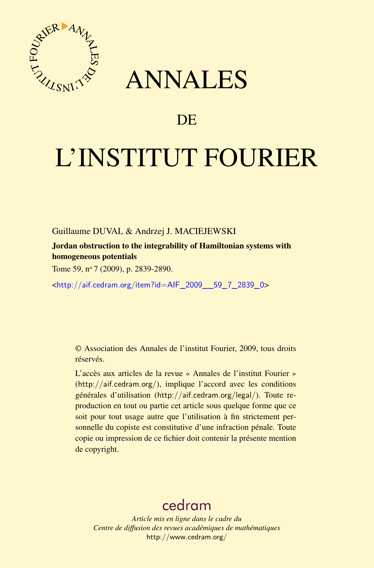

## ANNALES

## **DE**

# L'INSTITUT FOURIER

Guillaume DUVAL & Andrzej J. MACIEJEWSKI

Jordan obstruction to the integrability of Hamiltonian systems with homogeneous potentials

Tome 59, nº 7 (2009), p. 2839-2890.

<[http://aif.cedram.org/item?id=AIF\\_2009\\_\\_59\\_7\\_2839\\_0](http://aif.cedram.org/item?id=AIF_2009__59_7_2839_0)>

© Association des Annales de l'institut Fourier, 2009, tous droits réservés.

L'accès aux articles de la revue « Annales de l'institut Fourier » (<http://aif.cedram.org/>), implique l'accord avec les conditions générales d'utilisation (<http://aif.cedram.org/legal/>). Toute reproduction en tout ou partie cet article sous quelque forme que ce soit pour tout usage autre que l'utilisation à fin strictement personnelle du copiste est constitutive d'une infraction pénale. Toute copie ou impression de ce fichier doit contenir la présente mention de copyright.

## [cedram](http://www.cedram.org/)

*Article mis en ligne dans le cadre du Centre de diffusion des revues académiques de mathématiques* <http://www.cedram.org/>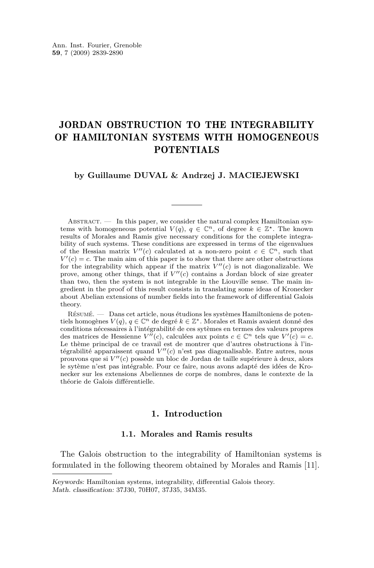### JORDAN OBSTRUCTION TO THE INTEGRABILITY OF HAMILTONIAN SYSTEMS WITH HOMOGENEOUS POTENTIALS

#### **by Guillaume DUVAL & Andrzej J. MACIEJEWSKI**

ABSTRACT.  $\qquad$  In this paper, we consider the natural complex Hamiltonian systems with homogeneous potential  $V(q)$ ,  $q \in \mathbb{C}^n$ , of degree  $k \in \mathbb{Z}^*$ . The known results of Morales and Ramis give necessary conditions for the complete integrability of such systems. These conditions are expressed in terms of the eigenvalues of the Hessian matrix  $V''(c)$  calculated at a non-zero point  $c \in \mathbb{C}^n$ , such that  $V'(c) = c$ . The main aim of this paper is to show that there are other obstructions for the integrability which appear if the matrix  $V''(c)$  is not diagonalizable. We prove, among other things, that if  $V''(c)$  contains a Jordan block of size greater than two, then the system is not integrable in the Liouville sense. The main ingredient in the proof of this result consists in translating some ideas of Kronecker about Abelian extensions of number fields into the framework of differential Galois theory.

Résumé. — Dans cet article, nous étudions les systèmes Hamiltoniens de potentiels homogènes *V* (*q*), *q ∈* C*<sup>n</sup>* de degré *k ∈* Z *<sup>∗</sup>*. Morales et Ramis avaient donné des conditions nécessaires à l'intégrabilité de ces sytèmes en termes des valeurs propres des matrices de Hessienne  $V^{\prime\prime}(c)$ , calculées aux points  $c \in \mathbb{C}^n$  tels que  $V^{\prime}(c) = c$ . Le thème principal de ce travail est de montrer que d'autres obstructions à l'intégrabilité apparaissent quand  $V''(c)$  n'est pas diagonalisable. Entre autres, nous prouvons que si  $V''(c)$  possède un bloc de Jordan de taille supérieure à deux, alors le sytème n'est pas intégrable. Pour ce faire, nous avons adapté des idées de Kronecker sur les extensions Abeliennes de corps de nombres, dans le contexte de la théorie de Galois différentielle.

#### **1. Introduction**

#### **1.1. Morales and Ramis results**

The Galois obstruction to the integrability of Hamiltonian systems is formulated in the following theorem obtained by Morales and Ramis [\[11\]](#page-52-0).

Keywords: Hamiltonian systems, integrability, differential Galois theory. Math. classification: 37J30, 70H07, 37J35, 34M35.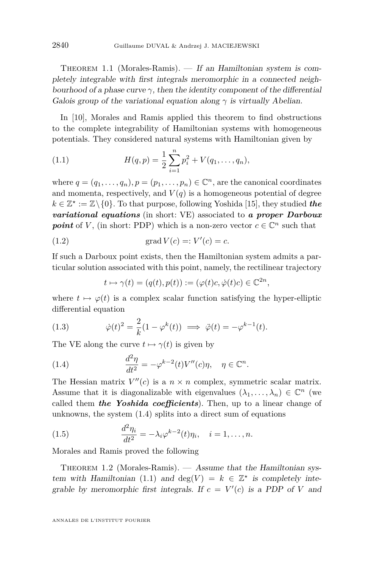<span id="page-2-0"></span>THEOREM 1.1 (Morales-Ramis). — If an Hamiltonian system is completely integrable with first integrals meromorphic in a connected neighbourhood of a phase curve  $\gamma$ , then the identity component of the differential Galois group of the variational equation along  $\gamma$  is virtually Abelian.

In [\[10\]](#page-52-0), Morales and Ramis applied this theorem to find obstructions to the complete integrability of Hamiltonian systems with homogeneous potentials. They considered natural systems with Hamiltonian given by

(1.1) 
$$
H(q,p) = \frac{1}{2} \sum_{i=1}^{n} p_i^2 + V(q_1, \dots, q_n),
$$

where  $q = (q_1, \ldots, q_n)$ ,  $p = (p_1, \ldots, p_n) \in \mathbb{C}^n$ , are the canonical coordinates and momenta, respectively, and  $V(q)$  is a homogeneous potential of degree  $k \in \mathbb{Z}^* := \mathbb{Z} \setminus \{0\}$ . To that purpose, following Yoshida [\[15\]](#page-52-0), they studied *the variational equations* (in short: VE) associated to *a proper Darboux* **point** of *V*, (in short: PDP) which is a non-zero vector  $c \in \mathbb{C}^n$  such that

$$
(1.2) \t grad V(c) =: V'(c) = c.
$$

If such a Darboux point exists, then the Hamiltonian system admits a particular solution associated with this point, namely, the rectilinear trajectory

$$
t \mapsto \gamma(t) = (q(t), p(t)) := (\varphi(t)c, \dot{\varphi}(t)c) \in \mathbb{C}^{2n},
$$

where  $t \mapsto \varphi(t)$  is a complex scalar function satisfying the hyper-elliptic differential equation

(1.3) 
$$
\dot{\varphi}(t)^2 = \frac{2}{k}(1 - \varphi^k(t)) \implies \ddot{\varphi}(t) = -\varphi^{k-1}(t).
$$

The VE along the curve  $t \mapsto \gamma(t)$  is given by

(1.4) 
$$
\frac{d^2\eta}{dt^2} = -\varphi^{k-2}(t)V''(c)\eta, \quad \eta \in \mathbb{C}^n.
$$

The Hessian matrix  $V''(c)$  is a  $n \times n$  complex, symmetric scalar matrix. Assume that it is diagonalizable with eigenvalues  $(\lambda_1, \ldots, \lambda_n) \in \mathbb{C}^n$  (we called them *the Yoshida coefficients*). Then, up to a linear change of unknowns, the system (1.4) splits into a direct sum of equations

(1.5) 
$$
\frac{d^2 \eta_i}{dt^2} = -\lambda_i \varphi^{k-2}(t)\eta_i, \quad i = 1, \dots, n.
$$

Morales and Ramis proved the following

THEOREM 1.2 (Morales-Ramis).  $-$  Assume that the Hamiltonian system with Hamiltonian (1.1) and  $deg(V) = k \in \mathbb{Z}^*$  is completely integrable by meromorphic first integrals. If  $c = V'(c)$  is a PDP of *V* and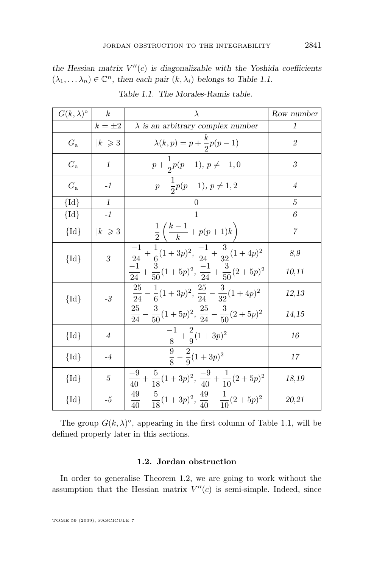<span id="page-3-0"></span>the Hessian matrix  $V''(c)$  is diagonalizable with the Yoshida coefficients  $(\lambda_1, \ldots \lambda_n) \in \mathbb{C}^n$ , then each pair  $(k, \lambda_i)$  belongs to Table 1.1.

| $G(k,\lambda)^\circ$ | $\boldsymbol{k}$  | $\lambda$                                                                                                                                                                                                                                                                                 | Row number     |
|----------------------|-------------------|-------------------------------------------------------------------------------------------------------------------------------------------------------------------------------------------------------------------------------------------------------------------------------------------|----------------|
|                      | $k=\pm 2$         | $\lambda$ is an arbitrary complex number                                                                                                                                                                                                                                                  | 1              |
| $G_{\rm a}$          | $ k  \geqslant 3$ | $\lambda(k,p) = p + \frac{k}{2}p(p-1)$                                                                                                                                                                                                                                                    | $\overline{2}$ |
| $G_{\rm a}$          | $\mathbf{1}$      | $p + \frac{1}{2}p(p-1), p \neq -1, 0$                                                                                                                                                                                                                                                     | 3              |
| $G_{\rm a}$          | $-1$              | $p-\frac{1}{2}p(p-1), p \neq 1,2$                                                                                                                                                                                                                                                         | $\overline{4}$ |
| $\{Id\}$             | $\mathbf{1}$      | 0                                                                                                                                                                                                                                                                                         | 5              |
| ${Id}$               | $-1$              | 1                                                                                                                                                                                                                                                                                         | 6              |
| ${Id}$               | $ k  \geqslant 3$ | $\frac{1}{2}\left(\frac{k-1}{k}+p(p+1)k\right)$                                                                                                                                                                                                                                           | $\overline{7}$ |
| $\{Id\}$             | $\overline{3}$    | $\frac{-1}{24} + \frac{1}{6}(1+3p)^2$ , $\frac{-1}{24} + \frac{3}{32}(1+4p)^2$                                                                                                                                                                                                            | 8,9<br>10,11   |
| $\{Id\}$             | $-3$              | $\frac{\frac{24}{24} + \frac{6}{50}(1+5p)^2}{\frac{25}{24} - \frac{1}{6}(1+3p)^2}, \frac{\frac{24}{24} + \frac{3}{50}(2+5p)^2}{\frac{25}{24} - \frac{1}{6}(1+3p)^2}, \frac{25}{24} - \frac{3}{32}(1+4p)^2$<br>$\frac{25}{24}-\frac{3}{50}(1+5p)^2, \, \frac{25}{24}-\frac{3}{50}(2+5p)^2$ | 12,13<br>14,15 |
| $\{Id\}$             | $\overline{4}$    | $\frac{-1}{8} + \frac{2}{9}(1+3p)^2$                                                                                                                                                                                                                                                      | 16             |
| $\{Id\}$             | $-4$              | $\frac{9}{8} - \frac{2}{9}(1+3p)^2$                                                                                                                                                                                                                                                       | 17             |
| $\{Id\}$             | $\overline{5}$    | $\frac{1}{40} + \frac{5}{18}(1+3p)^2$ , $\frac{-9}{40} + \frac{1}{10}(2+5p)^2$                                                                                                                                                                                                            | 18,19          |
| $\{Id\}$             | $-5$              | $\frac{49}{40}-\frac{5}{18}(1+3p)^2, \, \frac{49}{40}-\frac{1}{10}(2+5p)^2$                                                                                                                                                                                                               | 20,21          |

Table 1.1. The Morales-Ramis table.

The group  $G(k, \lambda)$ <sup>°</sup>, appearing in the first column of Table 1.1, will be defined properly later in this sections.

#### **1.2. Jordan obstruction**

In order to generalise Theorem [1.2,](#page-2-0) we are going to work without the assumption that the Hessian matrix  $V''(c)$  is semi-simple. Indeed, since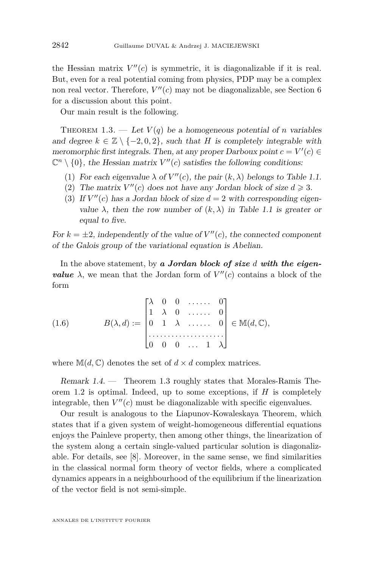<span id="page-4-0"></span>the Hessian matrix  $V''(c)$  is symmetric, it is diagonalizable if it is real. But, even for a real potential coming from physics, PDP may be a complex non real vector. Therefore,  $V''(c)$  may not be diagonalizable, see Section 6 for a discussion about this point.

Our main result is the following.

THEOREM 1.3. — Let  $V(q)$  be a homogeneous potential of *n* variables and degree  $k \in \mathbb{Z} \setminus \{-2, 0, 2\}$ , such that *H* is completely integrable with meromorphic first integrals. Then, at any proper Darboux point  $c = V'(c) \in$  $\mathbb{C}^n \setminus \{0\}$ , the Hessian matrix  $V''(c)$  satisfies the following conditions:

- (1) For each eigenvalue  $\lambda$  of  $V''(c)$ , the pair  $(k, \lambda)$  belongs to Table [1.1.](#page-3-0)
- (2) The matrix  $V''(c)$  does not have any Jordan block of size  $d \geq 3$ .
- (3) If  $V''(c)$  has a Jordan block of size  $d = 2$  with corresponding eigenvalue  $\lambda$ , then the row number of  $(k, \lambda)$  in Table [1.1](#page-3-0) is greater or equal to five.

For  $k = \pm 2$ , independently of the value of  $V''(c)$ , the connected component of the Galois group of the variational equation is Abelian.

In the above statement, by *a Jordan block of size d with the eigenvalue*  $\lambda$ , we mean that the Jordan form of  $V''(c)$  contains a block of the form

(1.6) 
$$
B(\lambda, d) := \begin{bmatrix} \lambda & 0 & 0 & \dots & 0 \\ 1 & \lambda & 0 & \dots & 0 \\ 0 & 1 & \lambda & \dots & 0 \\ \dots & \dots & \dots & \dots & \dots \\ 0 & 0 & 0 & \dots & 1 \end{bmatrix} \in M(d, \mathbb{C}),
$$

where  $\mathbb{M}(d, \mathbb{C})$  denotes the set of  $d \times d$  complex matrices.

Remark 1.4. — Theorem 1.3 roughly states that Morales-Ramis Theorem [1.2](#page-2-0) is optimal. Indeed, up to some exceptions, if *H* is completely integrable, then  $V''(c)$  must be diagonalizable with specific eigenvalues.

Our result is analogous to the Liapunov-Kowaleskaya Theorem, which states that if a given system of weight-homogeneous differential equations enjoys the Painleve property, then among other things, the linearization of the system along a certain single-valued particular solution is diagonalizable. For details, see [\[8\]](#page-52-0). Moreover, in the same sense, we find similarities in the classical normal form theory of vector fields, where a complicated dynamics appears in a neighbourhood of the equilibrium if the linearization of the vector field is not semi-simple.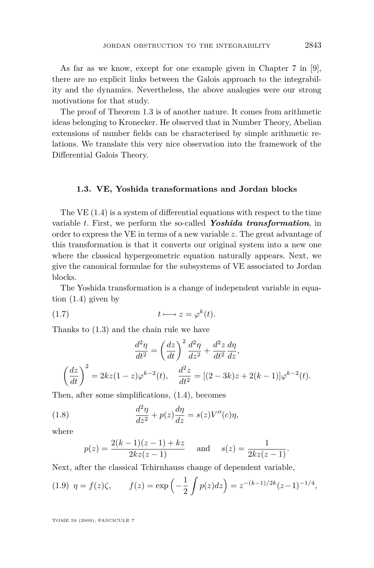<span id="page-5-0"></span>As far as we know, except for one example given in Chapter 7 in [\[9\]](#page-52-0), there are no explicit links between the Galois approach to the integrability and the dynamics. Nevertheless, the above analogies were our strong motivations for that study.

The proof of Theorem [1.3](#page-4-0) is of another nature. It comes from arithmetic ideas belonging to Kronecker. He observed that in Number Theory, Abelian extensions of number fields can be characterised by simple arithmetic relations. We translate this very nice observation into the framework of the Differential Galois Theory.

#### **1.3. VE, Yoshida transformations and Jordan blocks**

The VE [\(1.4\)](#page-2-0) is a system of differential equations with respect to the time variable *t*. First, we perform the so-called *Yoshida transformation*, in order to express the VE in terms of a new variable *z*. The great advantage of this transformation is that it converts our original system into a new one where the classical hypergeometric equation naturally appears. Next, we give the canonical formulae for the subsystems of VE associated to Jordan blocks.

The Yoshida transformation is a change of independent variable in equation [\(1.4\)](#page-2-0) given by

$$
(1.7) \t t \mapsto z = \varphi^k(t).
$$

Thanks to [\(1.3\)](#page-2-0) and the chain rule we have

$$
\frac{d^2\eta}{dt^2} = \left(\frac{dz}{dt}\right)^2 \frac{d^2\eta}{dz^2} + \frac{d^2z}{dt^2} \frac{d\eta}{dz},
$$

$$
\left(\frac{dz}{dt}\right)^2 = 2kz(1-z)\varphi^{k-2}(t), \quad \frac{d^2z}{dt^2} = [(2-3k)z + 2(k-1)]\varphi^{k-2}(t).
$$

Then, after some simplifications, [\(1.4\)](#page-2-0), becomes

(1.8) 
$$
\frac{d^2\eta}{dz^2} + p(z)\frac{d\eta}{dz} = s(z)V''(c)\eta,
$$

where

$$
p(z) = \frac{2(k-1)(z-1) + kz}{2kz(z-1)}
$$
 and  $s(z) = \frac{1}{2kz(z-1)}$ .

Next, after the classical Tchirnhauss change of dependent variable,

(1.9) 
$$
\eta = f(z)\zeta
$$
,  $f(z) = \exp\left(-\frac{1}{2}\int p(z)dz\right) = z^{-(k-1)/2k}(z-1)^{-1/4}$ ,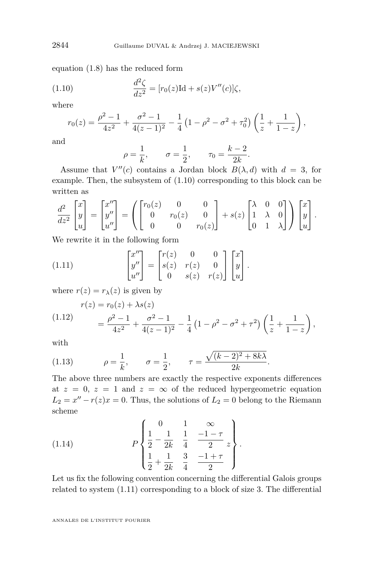equation [\(1.8\)](#page-5-0) has the reduced form

(1.10) 
$$
\frac{d^2\zeta}{dz^2} = [r_0(z)\text{Id} + s(z)V''(c)]\zeta,
$$

where

$$
r_0(z) = \frac{\rho^2 - 1}{4z^2} + \frac{\sigma^2 - 1}{4(z - 1)^2} - \frac{1}{4} \left( 1 - \rho^2 - \sigma^2 + \tau_0^2 \right) \left( \frac{1}{z} + \frac{1}{1 - z} \right),
$$

and

$$
\rho = \frac{1}{k}, \qquad \sigma = \frac{1}{2}, \qquad \tau_0 = \frac{k-2}{2k}.
$$

Assume that  $V''(c)$  contains a Jordan block  $B(\lambda, d)$  with  $d = 3$ , for example. Then, the subsystem of (1.10) corresponding to this block can be written as

$$
\frac{d^2}{dz^2} \begin{bmatrix} x \\ y \\ u \end{bmatrix} = \begin{bmatrix} x'' \\ y'' \\ u'' \end{bmatrix} = \left( \begin{bmatrix} r_0(z) & 0 & 0 \\ 0 & r_0(z) & 0 \\ 0 & 0 & r_0(z) \end{bmatrix} + s(z) \begin{bmatrix} \lambda & 0 & 0 \\ 1 & \lambda & 0 \\ 0 & 1 & \lambda \end{bmatrix} \right) \begin{bmatrix} x \\ y \\ u \end{bmatrix}.
$$

We rewrite it in the following form

(1.11) 
$$
\begin{bmatrix} x'' \\ y'' \\ u'' \end{bmatrix} = \begin{bmatrix} r(z) & 0 & 0 \\ s(z) & r(z) & 0 \\ 0 & s(z) & r(z) \end{bmatrix} \begin{bmatrix} x \\ y \\ u \end{bmatrix}.
$$

where  $r(z) = r_{\lambda}(z)$  is given by

(1.12) 
$$
r(z) = r_0(z) + \lambda s(z)
$$

$$
= \frac{\rho^2 - 1}{4z^2} + \frac{\sigma^2 - 1}{4(z - 1)^2} - \frac{1}{4} \left(1 - \rho^2 - \sigma^2 + \tau^2\right) \left(\frac{1}{z} + \frac{1}{1 - z}\right),
$$

with

(1.13) 
$$
\rho = \frac{1}{k}, \qquad \sigma = \frac{1}{2}, \qquad \tau = \frac{\sqrt{(k-2)^2 + 8k\lambda}}{2k}.
$$

The above three numbers are exactly the respective exponents differences at  $z = 0$ ,  $z = 1$  and  $z = \infty$  of the reduced hypergeometric equation  $L_2 = x'' - r(z)x = 0$ . Thus, the solutions of  $L_2 = 0$  belong to the Riemann scheme

(1.14) 
$$
P\left\{\begin{array}{ccc} 0 & 1 & \infty \\ \frac{1}{2} - \frac{1}{2k} & \frac{1}{4} & \frac{-1-\tau}{2} \\ \frac{1}{2} + \frac{1}{2k} & \frac{3}{4} & \frac{-1+\tau}{2} \end{array}\right\}.
$$

Let us fix the following convention concerning the differential Galois groups related to system (1.11) corresponding to a block of size 3. The differential

<span id="page-6-0"></span>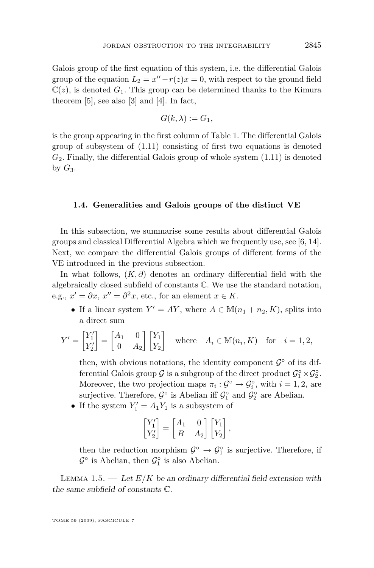<span id="page-7-0"></span>Galois group of the first equation of this system, i.e. the differential Galois group of the equation  $L_2 = x'' - r(z)x = 0$ , with respect to the ground field  $\mathbb{C}(z)$ , is denoted  $G_1$ . This group can be determined thanks to the Kimura theorem [\[5\]](#page-52-0), see also [\[3\]](#page-52-0) and [\[4\]](#page-52-0). In fact,

$$
G(k,\lambda):=G_1,
$$

is the group appearing in the first column of Table 1. The differential Galois group of subsystem of [\(1.11\)](#page-6-0) consisting of first two equations is denoted  $G_2$ . Finally, the differential Galois group of whole system  $(1.11)$  is denoted by  $G_3$ .

#### **1.4. Generalities and Galois groups of the distinct VE**

In this subsection, we summarise some results about differential Galois groups and classical Differential Algebra which we frequently use, see [\[6,](#page-52-0) [14\]](#page-52-0). Next, we compare the differential Galois groups of different forms of the VE introduced in the previous subsection.

In what follows, (*K, ∂*) denotes an ordinary differential field with the algebraically closed subfield of constants C. We use the standard notation, e.g.,  $x' = \partial x$ ,  $x'' = \partial^2 x$ , etc., for an element  $x \in K$ .

• If a linear system  $Y' = AY$ , where  $A \in \mathbb{M}(n_1 + n_2, K)$ , splits into a direct sum

$$
Y' = \begin{bmatrix} Y_1' \\ Y_2' \end{bmatrix} = \begin{bmatrix} A_1 & 0 \\ 0 & A_2 \end{bmatrix} \begin{bmatrix} Y_1 \\ Y_2 \end{bmatrix} \quad \text{where} \quad A_i \in \mathbb{M}(n_i, K) \quad \text{for} \quad i = 1, 2,
$$

then, with obvious notations, the identity component  $\mathcal{G}^{\circ}$  of its differential Galois group  $G$  is a subgroup of the direct product  $G_1^{\circ} \times G_2^{\circ}$ . Moreover, the two projection maps  $\pi_i : \mathcal{G}^\circ \to \mathcal{G}_i^\circ$ , with  $i = 1, 2$ , are surjective. Therefore,  $\mathcal{G}^{\circ}$  is Abelian iff  $\mathcal{G}^{\circ}_1$  and  $\mathcal{G}^{\circ}_2$  are Abelian.

• If the system  $Y'_1 = A_1 Y_1$  is a subsystem of

$$
\begin{bmatrix} Y_1' \\ Y_2' \end{bmatrix} = \begin{bmatrix} A_1 & 0 \\ B & A_2 \end{bmatrix} \begin{bmatrix} Y_1 \\ Y_2 \end{bmatrix},
$$

then the reduction morphism  $\mathcal{G}^{\circ} \to \mathcal{G}^{\circ}_1$  is surjective. Therefore, if  $\mathcal{G}^{\circ}$  is Abelian, then  $\mathcal{G}^{\circ}_1$  is also Abelian.

LEMMA 1.5.  $-$  Let  $E/K$  be an ordinary differential field extension with the same subfield of constants C.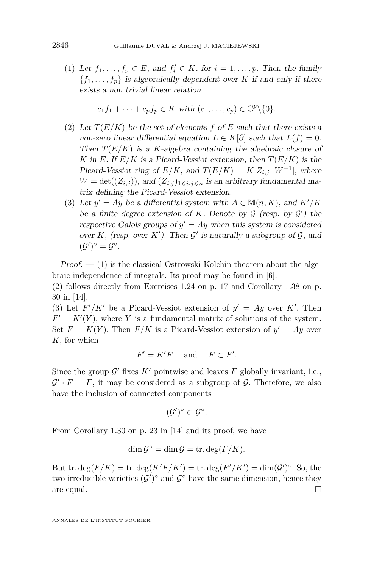(1) Let  $f_1, \ldots, f_p \in E$ , and  $f'_i \in K$ , for  $i = 1, \ldots, p$ . Then the family  ${f_1, \ldots, f_p}$  is algebraically dependent over *K* if and only if there exists a non trivial linear relation

$$
c_1f_1 + \cdots + c_pf_p \in K \text{ with } (c_1, \ldots, c_p) \in \mathbb{C}^p \backslash \{0\}.
$$

- (2) Let  $T(E/K)$  be the set of elements f of E such that there exists a non-zero linear differential equation  $L \in K[\partial]$  such that  $L(f) = 0$ . Then *T*(*E/K*) is a *K*-algebra containing the algebraic closure of *K* in *E*. If  $E/K$  is a Picard-Vessiot extension, then  $T(E/K)$  is the Picard-Vessiot ring of  $E/K$ , and  $T(E/K) = K[Z_{i,j}][W^{-1}]$ , where  $W = det((Z_{i,j}))$ , and  $(Z_{i,j})_{1 \leq i,j \leq n}$  is an arbitrary fundamental matrix defining the Picard-Vessiot extension.
- (3) Let  $y' = Ay$  be a differential system with  $A \in \mathbb{M}(n, K)$ , and  $K'/K$ be a finite degree extension of *K*. Denote by  $G$  (resp. by  $G'$ ) the respective Galois groups of  $y' = Ay$  when this system is considered over  $K$ , (resp. over  $K'$ ). Then  $\mathcal{G}'$  is naturally a subgroup of  $\mathcal{G}$ , and  $({\cal G}')^{\circ} = {\cal G}^{\circ}.$

 $Proof. - (1)$  is the classical Ostrowski-Kolchin theorem about the algebraic independence of integrals. Its proof may be found in [\[6\]](#page-52-0).

(2) follows directly from Exercises 1.24 on p. 17 and Corollary 1.38 on p. 30 in [\[14\]](#page-52-0).

(3) Let  $F'/K'$  be a Picard-Vessiot extension of  $y' = Ay$  over K'. Then  $F' = K'(Y)$ , where *Y* is a fundamental matrix of solutions of the system. Set  $F = K(Y)$ . Then  $F/K$  is a Picard-Vessiot extension of  $y' = Ay$  over *K*, for which

$$
F' = K'F \quad \text{ and } \quad F \subset F'.
$$

Since the group  $\mathcal{G}'$  fixes  $K'$  pointwise and leaves  $F$  globally invariant, i.e.,  $\mathcal{G}' \cdot F = F$ , it may be considered as a subgroup of  $\mathcal{G}$ . Therefore, we also have the inclusion of connected components

$$
(\mathcal{G}')^{\circ} \subset \mathcal{G}^{\circ}.
$$

From Corollary 1.30 on p. 23 in [\[14\]](#page-52-0) and its proof, we have

$$
\dim \mathcal{G}^{\circ} = \dim \mathcal{G} = \text{tr. deg}(F/K).
$$

But tr.  $\deg(F/K) = \text{tr.} \deg(K'F/K') = \text{tr.} \deg(F'/K') = \dim(\mathcal{G}')^{\circ}$ . So, the two irreducible varieties  $(G')^{\circ}$  and  $G^{\circ}$  have the same dimension, hence they are equal.  $\Box$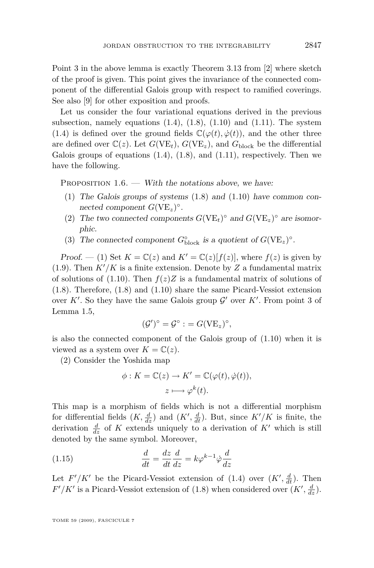<span id="page-9-0"></span>Point 3 in the above lemma is exactly Theorem 3.13 from [\[2\]](#page-52-0) where sketch of the proof is given. This point gives the invariance of the connected component of the differential Galois group with respect to ramified coverings. See also [\[9\]](#page-52-0) for other exposition and proofs.

Let us consider the four variational equations derived in the previous subsection, namely equations  $(1.4)$ ,  $(1.8)$ ,  $(1.10)$  and  $(1.11)$ . The system [\(1.4\)](#page-2-0) is defined over the ground fields  $\mathbb{C}(\varphi(t), \dot{\varphi}(t))$ , and the other three are defined over  $\mathbb{C}(z)$ . Let  $G(VE_t)$ ,  $G(VE_z)$ , and  $G_{block}$  be the differential Galois groups of equations  $(1.4)$ ,  $(1.8)$ , and  $(1.11)$ , respectively. Then we have the following.

PROPOSITION  $1.6.$  — With the notations above, we have:

- (1) The Galois groups of systems [\(1.8\)](#page-5-0) and [\(1.10\)](#page-6-0) have common connected component  $G(VE_z)^\circ$ .
- (2) The two connected components  $G(VE_t)^\circ$  and  $G(VE_z)^\circ$  are isomorphic.
- (3) The connected component  $G^{\circ}_{\text{block}}$  is a quotient of  $G(VE_z)^{\circ}$ .

Proof.  $- (1)$  Set  $K = \mathbb{C}(z)$  and  $K' = \mathbb{C}(z)[f(z)]$ , where  $f(z)$  is given by [\(1.9\)](#page-5-0). Then  $K'/K$  is a finite extension. Denote by  $Z$  a fundamental matrix of solutions of [\(1.10\)](#page-6-0). Then  $f(z)Z$  is a fundamental matrix of solutions of [\(1.8\)](#page-5-0). Therefore, [\(1.8\)](#page-5-0) and [\(1.10\)](#page-6-0) share the same Picard-Vessiot extension over  $K'$ . So they have the same Galois group  $\mathcal{G}'$  over  $K'$ . From point 3 of Lemma [1.5,](#page-7-0)

$$
(\mathcal{G}')^{\circ} = \mathcal{G}^{\circ} : = G(\mathrm{VE}_{z})^{\circ},
$$

is also the connected component of the Galois group of  $(1.10)$  when it is viewed as a system over  $K = \mathbb{C}(z)$ .

(2) Consider the Yoshida map

$$
\phi: K = \mathbb{C}(z) \to K' = \mathbb{C}(\varphi(t), \dot{\varphi}(t)),
$$

$$
z \longmapsto \varphi^k(t).
$$

This map is a morphism of fields which is not a differential morphism for differential fields  $(K, \frac{d}{dz})$  and  $(K', \frac{d}{dt})$ . But, since  $K'/K$  is finite, the derivation  $\frac{d}{dz}$  of K extends uniquely to a derivation of K' which is still denoted by the same symbol. Moreover,

(1.15) 
$$
\frac{d}{dt} = \frac{dz}{dt}\frac{d}{dz} = k\varphi^{k-1}\dot{\varphi}\frac{d}{dz}
$$

Let  $F'/K'$  be the Picard-Vessiot extension of [\(1.4\)](#page-2-0) over  $(K', \frac{d}{dt})$ . Then  $F'/K'$  is a Picard-Vessiot extension of [\(1.8\)](#page-5-0) when considered over  $(K', \frac{d}{dz})$ .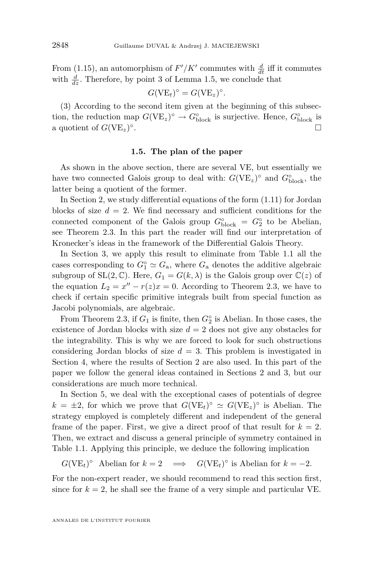From [\(1.15\)](#page-9-0), an automorphism of  $F'/K'$  commutes with  $\frac{d}{dt}$  iff it commutes with  $\frac{d}{dz}$ . Therefore, by point 3 of Lemma [1.5,](#page-7-0) we conclude that

$$
G(\mathrm{VE}_{t})^{\circ} = G(\mathrm{VE}_{z})^{\circ}.
$$

(3) According to the second item given at the beginning of this subsection, the reduction map  $G(VE_z)^\circ \to G_{\text{block}}^\circ$  is surjective. Hence,  $G_{\text{block}}^\circ$  is a quotient of  $G(VE_z)^\circ$ .

#### **1.5. The plan of the paper**

As shown in the above section, there are several VE, but essentially we have two connected Galois group to deal with:  $G(VE_z)^\circ$  and  $G_{\text{block}}^\circ$ , the latter being a quotient of the former.

In Section 2, we study differential equations of the form [\(1.11\)](#page-6-0) for Jordan blocks of size  $d = 2$ . We find necessary and sufficient conditions for the connected component of the Galois group  $G^{\circ}_{\text{block}} = G^{\circ}_2$  to be Abelian, see Theorem [2.3.](#page-12-0) In this part the reader will find our interpretation of Kronecker's ideas in the framework of the Differential Galois Theory.

In Section 3, we apply this result to eliminate from Table [1.1](#page-3-0) all the cases corresponding to  $G_1^{\circ} \simeq G_a$ , where  $G_a$  denotes the additive algebraic subgroup of  $SL(2,\mathbb{C})$ . Here,  $G_1 = G(k,\lambda)$  is the Galois group over  $\mathbb{C}(z)$  of the equation  $L_2 = x'' - r(z)x = 0$ . According to Theorem [2.3,](#page-12-0) we have to check if certain specific primitive integrals built from special function as Jacobi polynomials, are algebraic.

From Theorem [2.3,](#page-12-0) if  $G_1$  is finite, then  $G_2^{\circ}$  is Abelian. In those cases, the existence of Jordan blocks with size  $d = 2$  does not give any obstacles for the integrability. This is why we are forced to look for such obstructions considering Jordan blocks of size  $d = 3$ . This problem is investigated in Section 4, where the results of Section 2 are also used. In this part of the paper we follow the general ideas contained in Sections 2 and 3, but our considerations are much more technical.

In Section 5, we deal with the exceptional cases of potentials of degree  $k = \pm 2$ , for which we prove that  $G(VE_t)^\circ \simeq G(VE_z)^\circ$  is Abelian. The strategy employed is completely different and independent of the general frame of the paper. First, we give a direct proof of that result for  $k = 2$ . Then, we extract and discuss a general principle of symmetry contained in Table [1.1.](#page-3-0) Applying this principle, we deduce the following implication

 $G(VE_t)^\circ$  Abelian for  $k = 2 \implies G(VE_t)^\circ$  is Abelian for  $k = -2$ *.* 

For the non-expert reader, we should recommend to read this section first, since for  $k = 2$ , he shall see the frame of a very simple and particular VE.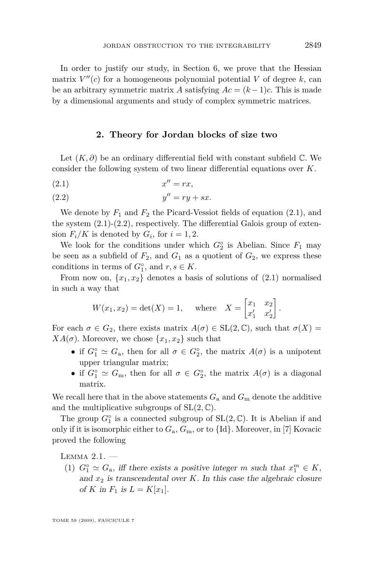<span id="page-11-0"></span>In order to justify our study, in Section 6, we prove that the Hessian matrix  $V''(c)$  for a homogeneous polynomial potential V of degree  $k$ , can be an arbitrary symmetric matrix *A* satisfying  $Ac = (k-1)c$ . This is made by a dimensional arguments and study of complex symmetric matrices.

#### **2. Theory for Jordan blocks of size two**

Let  $(K, \partial)$  be an ordinary differential field with constant subfield  $\mathbb{C}$ . We consider the following system of two linear differential equations over *K*.

$$
(2.1) \t\t x'' = rx,
$$

$$
(2.2) \t\t y'' = ry + sx.
$$

We denote by  $F_1$  and  $F_2$  the Picard-Vessiot fields of equation  $(2.1)$ , and the system  $(2.1)-(2.2)$ , respectively. The differential Galois group of extension  $F_i/K$  is denoted by  $G_i$ , for  $i = 1, 2$ .

We look for the conditions under which  $G_2^{\circ}$  is Abelian. Since  $F_1$  may be seen as a subfield of  $F_2$ , and  $G_1$  as a quotient of  $G_2$ , we express these conditions in terms of  $G_1^{\circ}$ , and  $r, s \in K$ .

From now on,  $\{x_1, x_2\}$  denotes a basis of solutions of  $(2.1)$  normalised in such a way that

$$
W(x_1, x_2) = \det(X) = 1
$$
, where  $X = \begin{bmatrix} x_1 & x_2 \\ x'_1 & x'_2 \end{bmatrix}$ .

For each  $\sigma \in G_2$ , there exists matrix  $A(\sigma) \in SL(2,\mathbb{C})$ , such that  $\sigma(X) =$ *XA*( $\sigma$ ). Moreover, we chose  $\{x_1, x_2\}$  such that

- if  $G_1^{\circ} \simeq G_a$ , then for all  $\sigma \in G_2^{\circ}$ , the matrix  $A(\sigma)$  is a unipotent upper triangular matrix;
- if  $G_1^{\circ} \simeq G_m$ , then for all  $\sigma \in G_2^{\circ}$ , the matrix  $A(\sigma)$  is a diagonal matrix.

We recall here that in the above statements  $G_a$  and  $G_m$  denote the additive and the multiplicative subgroups of  $SL(2, \mathbb{C})$ .

The group  $G_1^{\circ}$  is a connected subgroup of  $SL(2,\mathbb{C})$ . It is Abelian if and only if it is isomorphic either to *G*a, *G*m, or to *{*Id*}*. Moreover, in [\[7\]](#page-52-0) Kovacic proved the following

LEMMA  $2.1.$   $-$ 

(1)  $G_1^{\circ} \simeq G_a$ , iff there exists a positive integer *m* such that  $x_1^m \in K$ , and  $x_2$  is transcendental over  $K$ . In this case the algebraic closure of *K* in  $F_1$  is  $L = K[x_1]$ .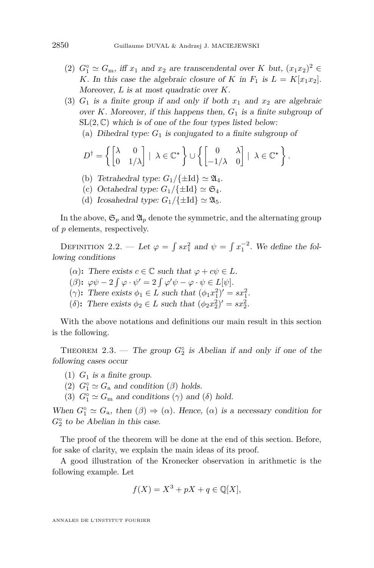- <span id="page-12-0"></span>(2)  $G_1^{\circ} \simeq G_m$ , iff  $x_1$  and  $x_2$  are transcendental over  $K$  but,  $(x_1x_2)^2 \in$ *K*. In this case the algebraic closure of *K* in  $F_1$  is  $L = K[x_1x_2]$ . Moreover, *L* is at most quadratic over *K*.
- (3)  $G_1$  is a finite group if and only if both  $x_1$  and  $x_2$  are algebraic over *K*. Moreover, if this happens then, *G*<sup>1</sup> is a finite subgroup of  $SL(2,\mathbb{C})$  which is of one of the four types listed below:
	- (a) Dihedral type: *G*<sup>1</sup> is conjugated to a finite subgroup of

$$
D^{\dagger} = \left\{ \begin{bmatrix} \lambda & 0 \\ 0 & 1/\lambda \end{bmatrix} \mid \ \lambda \in \mathbb{C}^{\star} \right\} \cup \left\{ \begin{bmatrix} 0 & \lambda \\ -1/\lambda & 0 \end{bmatrix} \mid \ \lambda \in \mathbb{C}^{\star} \right\}.
$$

- (b) Tetrahedral type:  $G_1/\{\pm \mathrm{Id}\}\simeq \mathfrak{A}_4$ .
- (c) Octahedral type:  $G_1/\{\pm I d\} \simeq \mathfrak{S}_4$ .
- (d) Icosahedral type:  $G_1/\{\pm I d\} \simeq \mathfrak{A}_5$ .

In the above,  $\mathfrak{S}_p$  and  $\mathfrak{A}_p$  denote the symmetric, and the alternating group of *p* elements, respectively.

DEFINITION 2.2. — Let  $\varphi = \int sx_1^2$  and  $\psi = \int x_1^{-2}$ . We define the following conditions

- ( $\alpha$ ): There exists  $c \in \mathbb{C}$  such that  $\varphi + c\psi \in L$ .
- $(\beta)$ :  $\varphi \psi 2 \int \varphi \cdot \psi' = 2 \int \varphi' \psi \varphi \cdot \psi \in L[\psi].$
- ( $\gamma$ ): There exists  $\phi_1 \in L$  such that  $(\phi_1 x_1^2)' = sx_1^2$ .
- (*δ*): There exists  $\phi_2 \in L$  such that  $(\phi_2 x_2^2)' = sx_2^2$ .

With the above notations and definitions our main result in this section is the following.

THEOREM 2.3. — The group  $G_2^{\circ}$  is Abelian if and only if one of the following cases occur

- (1)  $G_1$  is a finite group.
- (2)  $G_1^{\circ} \simeq G_a$  and condition ( $\beta$ ) holds.
- (3)  $G_1^{\circ} \simeq G_m$  and conditions  $(\gamma)$  and  $(\delta)$  hold.

When  $G_1^{\circ} \simeq G_a$ , then  $(\beta) \Rightarrow (\alpha)$ . Hence,  $(\alpha)$  is a necessary condition for  $G_2^{\circ}$  to be Abelian in this case.

The proof of the theorem will be done at the end of this section. Before, for sake of clarity, we explain the main ideas of its proof.

A good illustration of the Kronecker observation in arithmetic is the following example. Let

$$
f(X) = X^3 + pX + q \in \mathbb{Q}[X],
$$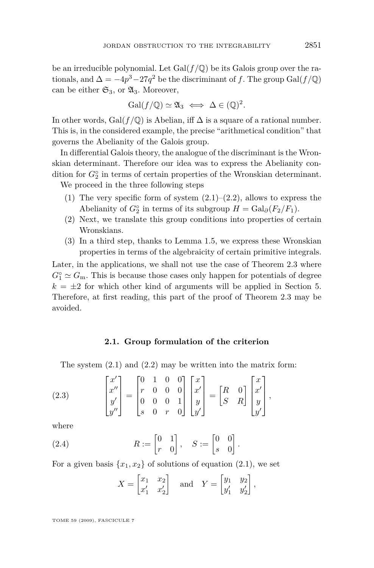<span id="page-13-0"></span>be an irreducible polynomial. Let  $Gal(f/\mathbb{Q})$  be its Galois group over the rationals, and  $\Delta = -4p^3 - 27q^2$  be the discriminant of *f*. The group Gal( $f/\mathbb{Q}$ ) can be either  $\mathfrak{S}_3$ , or  $\mathfrak{A}_3$ . Moreover,

$$
\mathrm{Gal}(f/\mathbb{Q}) \simeq \mathfrak{A}_3 \iff \Delta \in (\mathbb{Q})^2.
$$

In other words, Gal( $f$  / $\mathbb{Q}$ ) is Abelian, iff  $\Delta$  is a square of a rational number. This is, in the considered example, the precise "arithmetical condition" that governs the Abelianity of the Galois group.

In differential Galois theory, the analogue of the discriminant is the Wronskian determinant. Therefore our idea was to express the Abelianity condition for  $G_2^{\circ}$  in terms of certain properties of the Wronskian determinant.

We proceed in the three following steps

- (1) The very specific form of system  $(2.1)$ – $(2.2)$ , allows to express the Abelianity of  $G_2^{\circ}$  in terms of its subgroup  $H = \text{Gal}_{\partial}(F_2/F_1)$ .
- (2) Next, we translate this group conditions into properties of certain Wronskians.
- (3) In a third step, thanks to Lemma [1.5,](#page-7-0) we express these Wronskian properties in terms of the algebraicity of certain primitive integrals.

Later, in the applications, we shall not use the case of Theorem [2.3](#page-12-0) where  $G_1^{\circ} \simeq G_m$ . This is because those cases only happen for potentials of degree  $k = \pm 2$  for which other kind of arguments will be applied in Section 5. Therefore, at first reading, this part of the proof of Theorem [2.3](#page-12-0) may be avoided.

#### **2.1. Group formulation of the criterion**

The system  $(2.1)$  and  $(2.2)$  may be written into the matrix form:

(2.3) 
$$
\begin{bmatrix} x' \\ x'' \\ y' \\ y'' \end{bmatrix} = \begin{bmatrix} 0 & 1 & 0 & 0 \\ r & 0 & 0 & 0 \\ 0 & 0 & 0 & 1 \\ s & 0 & r & 0 \end{bmatrix} \begin{bmatrix} x \\ x' \\ y \\ y' \end{bmatrix} = \begin{bmatrix} R & 0 \\ S & R \end{bmatrix} \begin{bmatrix} x \\ x' \\ y \\ y' \end{bmatrix},
$$

where

(2.4) 
$$
R := \begin{bmatrix} 0 & 1 \\ r & 0 \end{bmatrix}, \quad S := \begin{bmatrix} 0 & 0 \\ s & 0 \end{bmatrix}.
$$

For a given basis  $\{x_1, x_2\}$  of solutions of equation [\(2.1\)](#page-11-0), we set

$$
X = \begin{bmatrix} x_1 & x_2 \\ x'_1 & x'_2 \end{bmatrix} \quad \text{and} \quad Y = \begin{bmatrix} y_1 & y_2 \\ y'_1 & y'_2 \end{bmatrix},
$$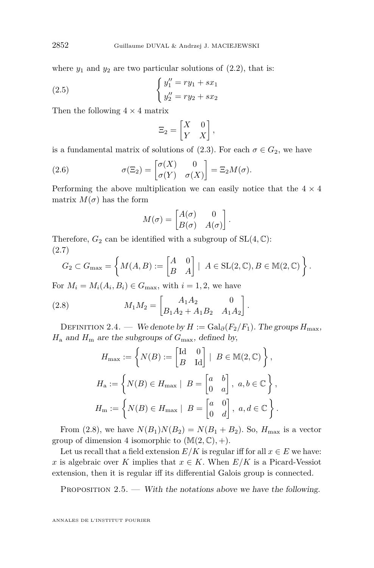<span id="page-14-0"></span>where  $y_1$  and  $y_2$  are two particular solutions of  $(2.2)$ , that is:

(2.5) 
$$
\begin{cases} y_1'' = ry_1 + sx_1 \\ y_2'' = ry_2 + sx_2 \end{cases}
$$

Then the following  $4 \times 4$  matrix

$$
\Xi_2 = \begin{bmatrix} X & 0 \\ Y & X \end{bmatrix},
$$

is a fundamental matrix of solutions of  $(2.3)$ . For each  $\sigma \in G_2$ , we have

(2.6) 
$$
\sigma(\Xi_2) = \begin{bmatrix} \sigma(X) & 0 \\ \sigma(Y) & \sigma(X) \end{bmatrix} = \Xi_2 M(\sigma).
$$

Performing the above multiplication we can easily notice that the  $4 \times 4$ matrix  $M(\sigma)$  has the form

$$
M(\sigma) = \begin{bmatrix} A(\sigma) & 0 \\ B(\sigma) & A(\sigma) \end{bmatrix}.
$$

Therefore,  $G_2$  can be identified with a subgroup of  $SL(4, \mathbb{C})$ : (2.7)

$$
G_2 \subset G_{\max} = \left\{ M(A, B) := \begin{bmatrix} A & 0 \\ B & A \end{bmatrix} \mid A \in SL(2, \mathbb{C}), B \in \mathbb{M}(2, \mathbb{C}) \right\}.
$$

For  $M_i = M_i(A_i, B_i) \in G_{\text{max}}$ , with  $i = 1, 2$ , we have

(2.8) 
$$
M_1 M_2 = \begin{bmatrix} A_1 A_2 & 0 \\ B_1 A_2 + A_1 B_2 & A_1 A_2 \end{bmatrix}
$$

DEFINITION 2.4. — We denote by  $H := \text{Gal}_{\partial}(F_2/F_1)$ . The groups  $H_{\text{max}}$ ,  $H_a$  and  $H_m$  are the subgroups of  $G_{\text{max}}$ , defined by,

*.*

$$
H_{\text{max}} := \left\{ N(B) := \begin{bmatrix} \text{Id} & 0 \\ B & \text{Id} \end{bmatrix} \middle| B \in M(2, \mathbb{C}) \right\},
$$
  

$$
H_{\text{a}} := \left\{ N(B) \in H_{\text{max}} \middle| B = \begin{bmatrix} a & b \\ 0 & a \end{bmatrix}, a, b \in \mathbb{C} \right\},
$$
  

$$
H_{\text{m}} := \left\{ N(B) \in H_{\text{max}} \middle| B = \begin{bmatrix} a & 0 \\ 0 & d \end{bmatrix}, a, d \in \mathbb{C} \right\}.
$$

From (2.8), we have  $N(B_1)N(B_2) = N(B_1 + B_2)$ . So,  $H_{\text{max}}$  is a vector group of dimension 4 isomorphic to  $(\mathbb{M}(2,\mathbb{C}), +)$ .

Let us recall that a field extension  $E/K$  is regular iff for all  $x \in E$  we have: *x* is algebraic over *K* implies that  $x \in K$ . When  $E/K$  is a Picard-Vessiot extension, then it is regular iff its differential Galois group is connected.

PROPOSITION  $2.5.$  — With the notations above we have the following.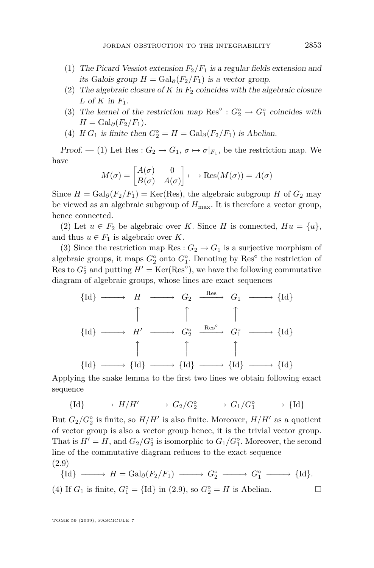- <span id="page-15-0"></span>(1) The Picard Vessiot extension  $F_2/F_1$  is a regular fields extension and *its Galois group H* =  $GaI_∂(F_2/F_1)$  *is a vector group.*
- (2) The algebraic closure of  $K$  in  $F_2$  coincides with the algebraic closure *L* of *K* in *F*1.
- (3) The kernel of the restriction map  $\text{Res}^{\circ}: G_2^{\circ} \to G_1^{\circ}$  coincides with  $H = \text{Gal}_{\partial}(F_2/F_1).$
- (4) If  $G_1$  is finite then  $G_2^\circ = H = \text{Gal}_\partial(F_2/F_1)$  is Abelian.

Proof. — (1) Let Res :  $G_2 \rightarrow G_1$ ,  $\sigma \mapsto \sigma|_{F_1}$ , be the restriction map. We have

$$
M(\sigma) = \begin{bmatrix} A(\sigma) & 0 \\ B(\sigma) & A(\sigma) \end{bmatrix} \longmapsto \text{Res}(M(\sigma)) = A(\sigma)
$$

Since  $H = \text{Gal}_{\partial}(F_2/F_1) = \text{Ker}(\text{Res})$ , the algebraic subgroup *H* of  $G_2$  may be viewed as an algebraic subgroup of  $H_{\text{max}}$ . It is therefore a vector group, hence connected.

(2) Let  $u \in F_2$  be algebraic over *K*. Since *H* is connected,  $Hu = \{u\}$ , and thus  $u \in F_1$  is algebraic over *K*.

(3) Since the restriction map Res :  $G_2 \rightarrow G_1$  is a surjective morphism of algebraic groups, it maps  $G_2^{\circ}$  onto  $G_1^{\circ}$ . Denoting by Res<sup>°</sup> the restriction of Res to  $G_2^{\circ}$  and putting  $H' = \text{Ker}(\text{Res}^{\circ})$ , we have the following commutative diagram of algebraic groups, whose lines are exact sequences

$$
\{Id\} \longrightarrow H \longrightarrow G_2 \xrightarrow{\text{Res}} G_1 \longrightarrow \{Id\}
$$
  

$$
\uparrow \qquad \qquad \uparrow \qquad \qquad \uparrow
$$
  

$$
\{Id\} \longrightarrow H' \longrightarrow G_2^{\circ} \xrightarrow{\text{Res}^{\circ}} G_1^{\circ} \longrightarrow \{Id\}
$$
  

$$
\uparrow \qquad \qquad \uparrow \qquad \qquad \uparrow
$$
  

$$
\{Id\} \longrightarrow \{Id\} \longrightarrow \{Id\} \longrightarrow \{Id\}
$$

Applying the snake lemma to the first two lines we obtain following exact sequence

$$
{\{\mathrm{Id}\}\longrightarrow H/H'\longrightarrow G_2/G_2^{\circ}\longrightarrow G_1/G_1^{\circ}\longrightarrow {\{\mathrm{Id}\}\}\end{array}
$$

But  $G_2/G_2^{\circ}$  is finite, so  $H/H'$  is also finite. Moreover,  $H/H'$  as a quotient of vector group is also a vector group hence, it is the trivial vector group. That is  $H' = H$ , and  $G_2/G_2^{\circ}$  is isomorphic to  $G_1/G_1^{\circ}$ . Moreover, the second line of the commutative diagram reduces to the exact sequence (2.9)

$$
\{Id\} \longrightarrow H = \text{Gal}_{\partial}(F_2/F_1) \longrightarrow G_2^{\circ} \longrightarrow G_1^{\circ} \longrightarrow \{Id\}.
$$
  
(4) If  $G_1$  is finite,  $G_1^{\circ} = \{Id\}$  in (2.9), so  $G_2^{\circ} = H$  is Abelian.  $\square$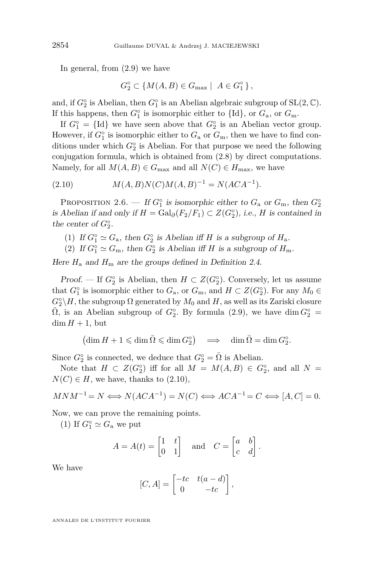<span id="page-16-0"></span>In general, from [\(2.9\)](#page-15-0) we have

$$
G_2^{\circ} \subset \{ M(A, B) \in G_{\text{max}} \mid A \in G_1^{\circ} \},
$$

and, if  $G_2^{\circ}$  is Abelian, then  $G_1^{\circ}$  is an Abelian algebraic subgroup of  $SL(2, \mathbb{C})$ . If this happens, then  $G_1^{\circ}$  is isomorphic either to  $\{Id\}$ , or  $G_a$ , or  $G_m$ .

If  $G_1^\circ = \{Id\}$  we have seen above that  $G_2^\circ$  is an Abelian vector group. However, if  $G_1^{\circ}$  is isomorphic either to  $G_a$  or  $G_m$ , then we have to find conditions under which  $G_2^{\circ}$  is Abelian. For that purpose we need the following conjugation formula, which is obtained from [\(2.8\)](#page-14-0) by direct computations. Namely, for all  $M(A, B) \in G_{\text{max}}$  and all  $N(C) \in H_{\text{max}}$ , we have

(2.10)  $M(A, B)N(C)M(A, B)^{-1} = N(ACA^{-1}).$ 

PROPOSITION 2.6. — If  $G_1^\circ$  is isomorphic either to  $G_a$  or  $G_m$ , then  $G_2^\circ$ is Abelian if and only if  $H = \text{Gal}_{\partial}(F_2/F_1) \subset Z(G_2^{\circ})$ , i.e., *H* is contained in the center of  $G_2^{\circ}$ .

- (1) If  $G_1^{\circ} \simeq G_a$ , then  $G_2^{\circ}$  is Abelian iff *H* is a subgroup of  $H_a$ .
- (2) If  $G_1^{\circ} \simeq G_m$ , then  $G_2^{\circ}$  is Abelian iff *H* is a subgroup of  $H_m$ .

Here  $H_a$  and  $H_m$  are the groups defined in Definition [2.4.](#page-14-0)

Proof. — If  $G_2^{\circ}$  is Abelian, then  $H \subset Z(G_2^{\circ})$ . Conversely, let us assume that  $G_1^{\circ}$  is isomorphic either to  $G_a$ , or  $G_m$ , and  $H \subset Z(G_2^{\circ})$ . For any  $M_0 \in$  $G_2^{\circ} \backslash H$ , the subgroup  $\Omega$  generated by  $M_0$  and  $H$ , as well as its Zariski closure  $\overline{\Omega}$ , is an Abelian subgroup of  $G_2^{\circ}$ . By formula [\(2.9\)](#page-15-0), we have dim  $G_2^{\circ}$  =  $\dim H + 1$ , but

$$
(\dim H + 1 \leqslant \dim \bar{\Omega} \leqslant \dim G_2^{\circ}) \quad \Longrightarrow \quad \dim \bar{\Omega} = \dim G_2^{\circ}.
$$

Since  $G_2^{\circ}$  is connected, we deduce that  $G_2^{\circ} = \overline{\Omega}$  is Abelian.

Note that  $H \subset Z(G_2^{\circ})$  iff for all  $M = M(A, B) \in G_2^{\circ}$ , and all  $N =$  $N(C) \in H$ , we have, thanks to  $(2.10)$ ,

$$
MNM^{-1} = N \Longleftrightarrow N(ACA^{-1}) = N(C) \Longleftrightarrow ACA^{-1} = C \Longleftrightarrow [A, C] = 0.
$$

Now, we can prove the remaining points.

(1) If  $G_1^{\circ} \simeq G_a$  we put

$$
A = A(t) = \begin{bmatrix} 1 & t \\ 0 & 1 \end{bmatrix} \quad \text{and} \quad C = \begin{bmatrix} a & b \\ c & d \end{bmatrix}.
$$

We have

$$
[C, A] = \begin{bmatrix} -tc & t(a-d) \\ 0 & -tc \end{bmatrix},
$$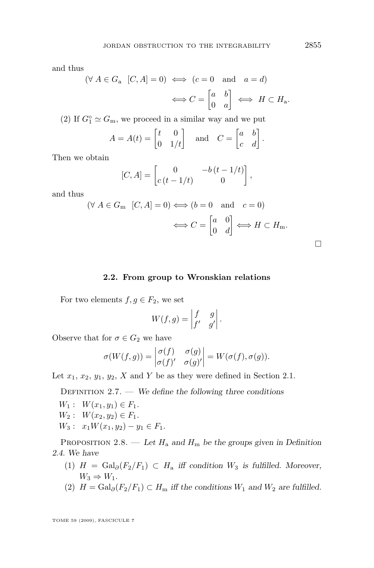<span id="page-17-0"></span>and thus

$$
(\forall A \in G_a \ [C, A] = 0) \iff (c = 0 \text{ and } a = d)
$$

$$
\iff C = \begin{bmatrix} a & b \\ 0 & a \end{bmatrix} \iff H \subset H_a.
$$

(2) If  $G_1^{\circ} \simeq G_m$ , we proceed in a similar way and we put

$$
A = A(t) = \begin{bmatrix} t & 0 \\ 0 & 1/t \end{bmatrix} \quad \text{and} \quad C = \begin{bmatrix} a & b \\ c & d \end{bmatrix}.
$$

Then we obtain

$$
[C, A] = \begin{bmatrix} 0 & -b(t - 1/t) \\ c(t - 1/t) & 0 \end{bmatrix},
$$

and thus

$$
(\forall A \in G_{\mathbf{m}} \ [C, A] = 0) \Longleftrightarrow (b = 0 \text{ and } c = 0)
$$

$$
\Longleftrightarrow C = \begin{bmatrix} a & 0 \\ 0 & d \end{bmatrix} \Longleftrightarrow H \subset H_{\mathbf{m}}.
$$

#### **2.2. From group to Wronskian relations**

For two elements  $f, g \in F_2$ , we set

$$
W(f,g) = \begin{vmatrix} f & g \\ f' & g' \end{vmatrix}.
$$

Observe that for  $\sigma \in G_2$  we have

$$
\sigma(W(f,g)) = \begin{vmatrix} \sigma(f) & \sigma(g) \\ \sigma(f)' & \sigma(g)' \end{vmatrix} = W(\sigma(f), \sigma(g)).
$$

Let  $x_1, x_2, y_1, y_2, X$  and  $Y$  be as they were defined in Section 2.1.

DEFINITION  $2.7.$  — We define the following three conditions

- $W_1: W(x_1, y_1) \in F_1.$
- $W_2: W(x_2, y_2) \in F_1.$
- $W_3: x_1W(x_1,y_2) y_1 \in F_1.$

PROPOSITION 2.8. — Let  $H_a$  and  $H_m$  be the groups given in Definition [2.4.](#page-14-0) We have

- (1) *H* = Gal*∂*(*F*2*/F*1) *⊂ H*<sup>a</sup> iff condition *W*<sup>3</sup> is fulfilled. Moreover,  $W_3 \Rightarrow W_1$ .
- (2)  $H = \text{Gal}_{\partial}(F_2/F_1) \subset H_m$  iff the conditions  $W_1$  and  $W_2$  are fulfilled.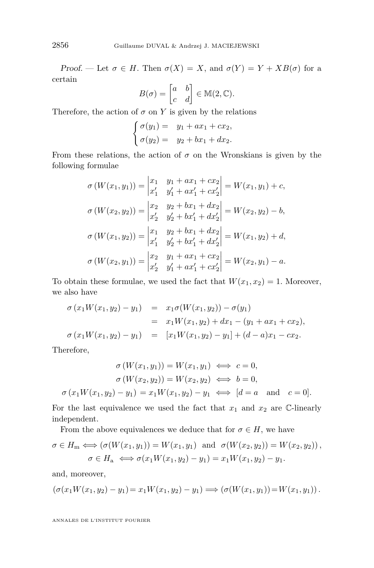Proof. — Let  $\sigma \in H$ . Then  $\sigma(X) = X$ , and  $\sigma(Y) = Y + XB(\sigma)$  for a certain

$$
B(\sigma) = \begin{bmatrix} a & b \\ c & d \end{bmatrix} \in M(2, \mathbb{C}).
$$

Therefore, the action of  $\sigma$  on  $Y$  is given by the relations

$$
\begin{cases}\n\sigma(y_1) = y_1 + ax_1 + cx_2, \\
\sigma(y_2) = y_2 + bx_1 + dx_2.\n\end{cases}
$$

From these relations, the action of  $\sigma$  on the Wronskians is given by the following formulae

$$
\sigma(W(x_1, y_1)) = \begin{vmatrix} x_1 & y_1 + ax_1 + cx_2 \\ x'_1 & y'_1 + ax'_1 + cx'_2 \end{vmatrix} = W(x_1, y_1) + c,
$$
  
\n
$$
\sigma(W(x_2, y_2)) = \begin{vmatrix} x_2 & y_2 + bx_1 + dx_2 \\ x'_2 & y'_2 + bx'_1 + dx'_2 \end{vmatrix} = W(x_2, y_2) - b,
$$
  
\n
$$
\sigma(W(x_1, y_2)) = \begin{vmatrix} x_1 & y_2 + bx_1 + dx_2 \\ x'_1 & y'_2 + bx'_1 + dx'_2 \end{vmatrix} = W(x_1, y_2) + d,
$$
  
\n
$$
\sigma(W(x_2, y_1)) = \begin{vmatrix} x_2 & y_1 + ax_1 + cx_2 \\ x'_2 & y'_1 + ax'_1 + cx'_2 \end{vmatrix} = W(x_2, y_1) - a.
$$

To obtain these formulae, we used the fact that  $W(x_1, x_2) = 1$ . Moreover, we also have

$$
\sigma(x_1W(x_1, y_2) - y_1) = x_1\sigma(W(x_1, y_2)) - \sigma(y_1)
$$
  
\n
$$
= x_1W(x_1, y_2) + dx_1 - (y_1 + ax_1 + cx_2),
$$
  
\n
$$
\sigma(x_1W(x_1, y_2) - y_1) = [x_1W(x_1, y_2) - y_1] + (d - a)x_1 - cx_2.
$$

Therefore,

$$
\sigma(W(x_1, y_1)) = W(x_1, y_1) \iff c = 0,
$$
  

$$
\sigma(W(x_2, y_2)) = W(x_2, y_2) \iff b = 0,
$$

 $\sigma(x_1W(x_1, y_2) - y_1) = x_1W(x_1, y_2) - y_1 \iff [d = a \text{ and } c = 0].$ 

For the last equivalence we used the fact that  $x_1$  and  $x_2$  are  $\mathbb{C}$ -linearly independent.

From the above equivalences we deduce that for  $\sigma \in H$ , we have

$$
\sigma \in H_{\mathbf{m}} \Longleftrightarrow (\sigma(W(x_1, y_1)) = W(x_1, y_1) \text{ and } \sigma(W(x_2, y_2)) = W(x_2, y_2)),
$$
  

$$
\sigma \in H_{\mathbf{a}} \Longleftrightarrow \sigma(x_1 W(x_1, y_2) - y_1) = x_1 W(x_1, y_2) - y_1.
$$

and, moreover,

$$
(\sigma(x_1W(x_1,y_2)-y_1)=x_1W(x_1,y_2)-y_1)\Longrightarrow (\sigma(W(x_1,y_1))=W(x_1,y_1)).
$$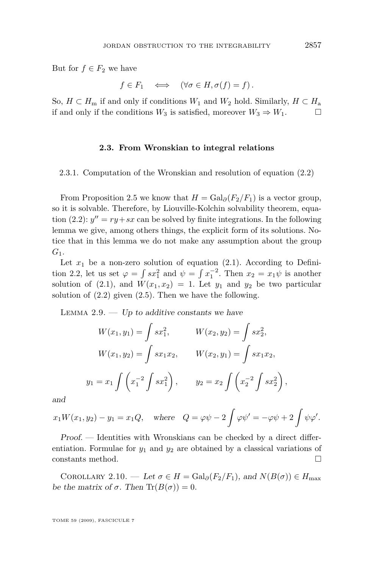<span id="page-19-0"></span>But for  $f \in F_2$  we have

$$
f \in F_1 \iff (\forall \sigma \in H, \sigma(f) = f).
$$

So,  $H \subset H_m$  if and only if conditions  $W_1$  and  $W_2$  hold. Similarly,  $H \subset H_a$ if and only if the conditions  $W_3$  is satisfied, moreover  $W_3$  ⇒  $W_1$ . □

#### **2.3. From Wronskian to integral relations**

2.3.1. Computation of the Wronskian and resolution of equation [\(2.2\)](#page-11-0)

From Proposition [2.5](#page-14-0) we know that  $H = \text{Gal}_{\partial}(F_2/F_1)$  is a vector group, so it is solvable. Therefore, by Liouville-Kolchin solvability theorem, equa-tion [\(2.2\)](#page-11-0):  $y'' = ry + sx$  can be solved by finite integrations. In the following lemma we give, among others things, the explicit form of its solutions. Notice that in this lemma we do not make any assumption about the group *G*1.

Let  $x_1$  be a non-zero solution of equation [\(2.1\)](#page-11-0). According to Defini-tion [2.2,](#page-12-0) let us set  $\varphi = \int s x_1^2$  and  $\psi = \int x_1^{-2}$ . Then  $x_2 = x_1 \psi$  is another solution of [\(2.1\)](#page-11-0), and  $W(x_1, x_2) = 1$ . Let  $y_1$  and  $y_2$  be two particular solution of  $(2.2)$  given  $(2.5)$ . Then we have the following.

LEMMA  $2.9.$  — Up to additive constants we have

$$
W(x_1, y_1) = \int sx_1^2, \qquad W(x_2, y_2) = \int sx_2^2,
$$
  

$$
W(x_1, y_2) = \int sx_1x_2, \qquad W(x_2, y_1) = \int sx_1x_2,
$$
  

$$
y_1 = x_1 \int \left(x_1^{-2} \int sx_1^2\right), \qquad y_2 = x_2 \int \left(x_2^{-2} \int sx_2^2\right),
$$

and

$$
x_1W(x_1, y_2) - y_1 = x_1Q
$$
, where  $Q = \varphi\psi - 2\int \varphi\psi' = -\varphi\psi + 2\int \psi\varphi'.$ 

Proof. — Identities with Wronskians can be checked by a direct differentiation. Formulae for  $y_1$  and  $y_2$  are obtained by a classical variations of constants method.  $\hfill \square$ 

COROLLARY 2.10. — Let  $\sigma \in H = \text{Gal}_{\partial}(F_2/F_1)$ , and  $N(B(\sigma)) \in H_{\text{max}}$ be the matrix of  $\sigma$ . Then  $\text{Tr}(B(\sigma)) = 0$ .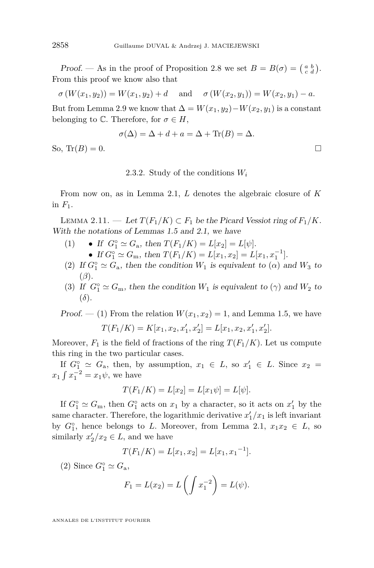Proof. — As in the proof of Proposition [2.8](#page-17-0) we set  $B = B(\sigma) = \begin{pmatrix} a & b \\ c & d \end{pmatrix}$ . From this proof we know also that

$$
\sigma(W(x_1, y_2)) = W(x_1, y_2) + d
$$
 and  $\sigma(W(x_2, y_1)) = W(x_2, y_1) - a$ .

But from Lemma [2.9](#page-19-0) we know that  $\Delta = W(x_1, y_2) - W(x_2, y_1)$  is a constant belonging to  $\mathbb{C}$ . Therefore, for  $\sigma \in H$ ,

$$
\sigma(\Delta) = \Delta + d + a = \Delta + \text{Tr}(B) = \Delta.
$$
  
So, 
$$
\text{Tr}(B) = 0.
$$

2.3.2. Study of the conditions *W<sup>i</sup>*

From now on, as in Lemma [2.1,](#page-11-0) *L* denotes the algebraic closure of *K* in  $F_1$ .

LEMMA 2.11. — Let  $T(F_1/K)$  ⊂  $F_1$  be the Picard Vessiot ring of  $F_1/K$ . With the notations of Lemmas [1.5](#page-7-0) and [2.1,](#page-11-0) we have

- (1) **•** If  $G_1^{\circ} \simeq G_a$ , then  $T(F_1/K) = L[x_2] = L[\psi]$ . • If  $G_1^{\circ} \simeq G_m$ , then  $T(F_1/K) = L[x_1, x_2] = L[x_1, x_1^{-1}]$ .
- (2) If  $G_1^{\circ} \simeq G_a$ , then the condition  $W_1$  is equivalent to  $(\alpha)$  and  $W_3$  to (*β*).
- (3) If  $G_1^{\circ} \simeq G_m$ , then the condition  $W_1$  is equivalent to  $(\gamma)$  and  $W_2$  to (*δ*).

*Proof.*  $-$  (1) From the relation  $W(x_1, x_2) = 1$ , and Lemma [1.5,](#page-7-0) we have

$$
T(F_1/K) = K[x_1, x_2, x'_1, x'_2] = L[x_1, x_2, x'_1, x'_2].
$$

Moreover,  $F_1$  is the field of fractions of the ring  $T(F_1/K)$ . Let us compute this ring in the two particular cases.

If  $G_1^{\circ} \simeq G_a$ , then, by assumption,  $x_1 \in L$ , so  $x'_1 \in L$ . Since  $x_2 =$  $x_1 \int x_1^{-2} = x_1 \psi$ , we have

$$
T(F_1/K) = L[x_2] = L[x_1\psi] = L[\psi].
$$

If  $G_1^{\circ} \simeq G_m$ , then  $G_1^{\circ}$  acts on  $x_1$  by a character, so it acts on  $x_1'$  by the same character. Therefore, the logarithmic derivative  $x'_1/x_1$  is left invariant by  $G_1^{\circ}$ , hence belongs to *L*. Moreover, from Lemma [2.1,](#page-11-0)  $x_1x_2 \in L$ , so similarly  $x_2'/x_2 \in L$ , and we have

$$
T(F_1/K) = L[x_1, x_2] = L[x_1, x_1^{-1}].
$$

(2) Since  $G_1^{\circ} \simeq G_{\rm a}$ ,

$$
F_1 = L(x_2) = L\left(\int x_1^{-2}\right) = L(\psi).
$$

<span id="page-20-0"></span>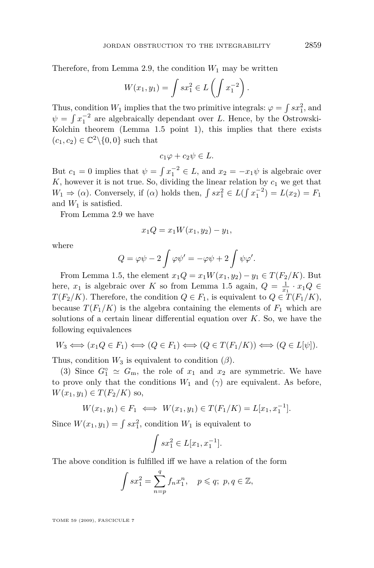Therefore, from Lemma [2.9,](#page-19-0) the condition  $W_1$  may be written

$$
W(x_1, y_1) = \int s x_1^2 \in L\left(\int x_1^{-2}\right).
$$

Thus, condition  $W_1$  implies that the two primitive integrals:  $\varphi = \int s x_1^2$ , and  $\psi = \int x_1^{-2}$  are algebraically dependant over *L*. Hence, by the Ostrowski-Kolchin theorem (Lemma [1.5](#page-7-0) point 1), this implies that there exists  $(c_1, c_2) \in \mathbb{C}^2 \setminus \{0, 0\}$  such that

$$
c_1\varphi + c_2\psi \in L.
$$

But  $c_1 = 0$  implies that  $\psi = \int x_1^{-2} \in L$ , and  $x_2 = -x_1 \psi$  is algebraic over  $K$ , however it is not true. So, dividing the linear relation by  $c_1$  we get that  $W_1 \Rightarrow (\alpha)$ . Conversely, if  $(\alpha)$  holds then,  $\int sx_1^2 \in L(\int x_1^{-2}) = L(x_2) = F_1$ and  $W_1$  is satisfied.

From Lemma [2.9](#page-19-0) we have

$$
x_1 Q = x_1 W(x_1, y_2) - y_1,
$$

where

$$
Q = \varphi \psi - 2 \int \varphi \psi' = -\varphi \psi + 2 \int \psi \varphi'.
$$

From Lemma [1.5,](#page-7-0) the element  $x_1Q = x_1W(x_1, y_2) - y_1 \in T(F_2/K)$ . But here,  $x_1$  is algebraic over *K* so from Lemma [1.5](#page-7-0) again,  $Q = \frac{1}{x_1} \cdot x_1 Q \in$ *T*( $F_2/K$ ). Therefore, the condition  $Q \in F_1$ , is equivalent to  $Q \in T(F_1/K)$ , because  $T(F_1/K)$  is the algebra containing the elements of  $F_1$  which are solutions of a certain linear differential equation over *K*. So, we have the following equivalences

$$
W_3 \iff (x_1 Q \in F_1) \iff (Q \in F_1) \iff (Q \in T(F_1/K)) \iff (Q \in L[\psi]).
$$

Thus, condition  $W_3$  is equivalent to condition  $(\beta)$ .

(3) Since  $G_1^{\circ} \simeq G_m$ , the role of  $x_1$  and  $x_2$  are symmetric. We have to prove only that the conditions  $W_1$  and  $(\gamma)$  are equivalent. As before, *W*(*x*<sub>1</sub>*, y*<sub>1</sub>) ∈ *T*(*F*<sub>2</sub>/*K*) so,

$$
W(x_1, y_1) \in F_1 \iff W(x_1, y_1) \in T(F_1/K) = L[x_1, x_1^{-1}].
$$

Since  $W(x_1, y_1) = \int s x_1^2$ , condition  $W_1$  is equivalent to

$$
\int sx_1^2 \in L[x_1, x_1^{-1}].
$$

The above condition is fulfilled iff we have a relation of the form

$$
\int sx_1^2 = \sum_{n=p}^q f_n x_1^n, \quad p \leq q; \ p, q \in \mathbb{Z},
$$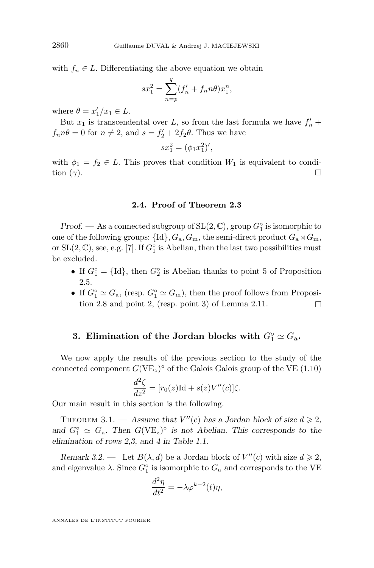with  $f_n \in L$ . Differentiating the above equation we obtain

$$
sx_1^2 = \sum_{n=p}^{q} (f'_n + f_n n\theta) x_1^n,
$$

where  $\theta = x_1'/x_1 \in L$ .

But  $x_1$  is transcendental over  $L$ , so from the last formula we have  $f'_n$  +  $f_n n\theta = 0$  for  $n \neq 2$ , and  $s = f'_2 + 2f_2\theta$ . Thus we have

$$
sx_1^2 = (\phi_1 x_1^2)'
$$

with  $\phi_1 = f_2 \in L$ . This proves that condition  $W_1$  is equivalent to condition  $(γ)$ .

#### **2.4. Proof of Theorem [2.3](#page-12-0)**

Proof. — As a connected subgroup of SL(2*,* C), group *G◦* 1 is isomorphic to one of the following groups:  $\{Id\}$ ,  $G_a$ ,  $G_m$ , the semi-direct product  $G_a \rtimes G_m$ , or  $SL(2, \mathbb{C})$ , see, e.g. [\[7\]](#page-52-0). If  $G_1^{\circ}$  is Abelian, then the last two possibilities must be excluded.

- If  $G_1^\circ = \{Id\}$ , then  $G_2^\circ$  is Abelian thanks to point 5 of Proposition [2.5.](#page-14-0)
- If  $G_1^{\circ} \simeq G_a$ , (resp.  $G_1^{\circ} \simeq G_m$ ), then the proof follows from Proposi-tion [2.8](#page-17-0) and point 2, (resp. point 3) of Lemma [2.11.](#page-20-0)

## **3. Elimination of the Jordan blocks with**  $G_1^\circ \simeq G_a$ .

We now apply the results of the previous section to the study of the connected component  $G(VE_z)^\circ$  of the Galois Galois group of the VE [\(1.10\)](#page-6-0)

$$
\frac{d^2\zeta}{dz^2} = [r_0(z)\text{Id} + s(z)V''(c)]\zeta.
$$

Our main result in this section is the following.

THEOREM 3.1. — Assume that  $V''(c)$  has a Jordan block of size  $d \geq 2$ , and  $G_1^{\circ} \simeq G_a$ . Then  $G(VE_z)^{\circ}$  is not Abelian. This corresponds to the elimination of rows 2,3, and 4 in Table [1.1.](#page-3-0)

Remark 3.2. — Let  $B(\lambda, d)$  be a Jordan block of  $V''(c)$  with size  $d \geq 2$ , and eigenvalue  $\lambda$ . Since  $G_1^{\circ}$  is isomorphic to  $G_a$  and corresponds to the VE

$$
\frac{d^2\eta}{dt^2} = -\lambda \varphi^{k-2}(t)\eta,
$$

<span id="page-22-0"></span>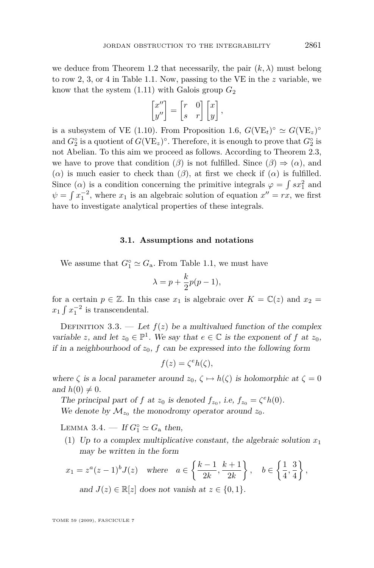<span id="page-23-0"></span>we deduce from Theorem [1.2](#page-2-0) that necessarily, the pair  $(k, \lambda)$  must belong to row 2, 3, or 4 in Table [1.1.](#page-3-0) Now, passing to the VE in the *z* variable, we know that the system  $(1.11)$  with Galois group  $G_2$ 

$$
\begin{bmatrix} x'' \\ y'' \end{bmatrix} = \begin{bmatrix} r & 0 \\ s & r \end{bmatrix} \begin{bmatrix} x \\ y \end{bmatrix},
$$

is a subsystem of VE [\(1.10\)](#page-6-0). From Proposition [1.6,](#page-9-0)  $G(VE_t)^\circ \simeq G(VE_z)^\circ$ and  $G_2^{\circ}$  is a quotient of  $G(VE_z)^{\circ}$ . Therefore, it is enough to prove that  $G_2^{\circ}$  is not Abelian. To this aim we proceed as follows. According to Theorem [2.3,](#page-12-0) we have to prove that condition ( $\beta$ ) is not fulfilled. Since ( $\beta$ )  $\Rightarrow$  ( $\alpha$ ), and ( $\alpha$ ) is much easier to check than ( $\beta$ ), at first we check if ( $\alpha$ ) is fulfilled. Since ( $\alpha$ ) is a condition concerning the primitive integrals  $\varphi = \int s x_1^2$  and  $\psi = \int x_1^{-2}$ , where  $x_1$  is an algebraic solution of equation  $x'' = rx$ , we first have to investigate analytical properties of these integrals.

#### **3.1. Assumptions and notations**

We assume that  $G_1^{\circ} \simeq G_a$ . From Table [1.1,](#page-3-0) we must have

$$
\lambda = p + \frac{k}{2}p(p-1),
$$

for a certain  $p \in \mathbb{Z}$ . In this case  $x_1$  is algebraic over  $K = \mathbb{C}(z)$  and  $x_2 =$  $x_1 \int x_1^{-2}$  is transcendental.

DEFINITION 3.3. — Let  $f(z)$  be a multivalued function of the complex variable *z*, and let  $z_0 \in \mathbb{P}^1$ . We say that  $e \in \mathbb{C}$  is the exponent of *f* at  $z_0$ , if in a neighbourhood of  $z_0$ ,  $f$  can be expressed into the following form

$$
f(z) = \zeta^e h(\zeta),
$$

where  $\zeta$  is a local parameter around  $z_0$ ,  $\zeta \mapsto h(\zeta)$  is holomorphic at  $\zeta = 0$ and  $h(0) \neq 0$ .

The principal part of *f* at  $z_0$  is denoted  $f_{z_0}$ , i.e,  $f_{z_0} = \zeta^e h(0)$ . We denote by  $\mathcal{M}_{z_0}$  the monodromy operator around  $z_0$ .

LEMMA 3.4. — If  $G_1^\circ \simeq G_a$  then,

(1) Up to a complex multiplicative constant, the algebraic solution  $x_1$ may be written in the form

$$
x_1 = z^a (z - 1)^b J(z) \quad \text{where} \quad a \in \left\{ \frac{k - 1}{2k}, \frac{k + 1}{2k} \right\}, \quad b \in \left\{ \frac{1}{4}, \frac{3}{4} \right\},
$$
  
and  $J(z) \in \mathbb{R}[z]$  does not vanish at  $z \in \{0, 1\}.$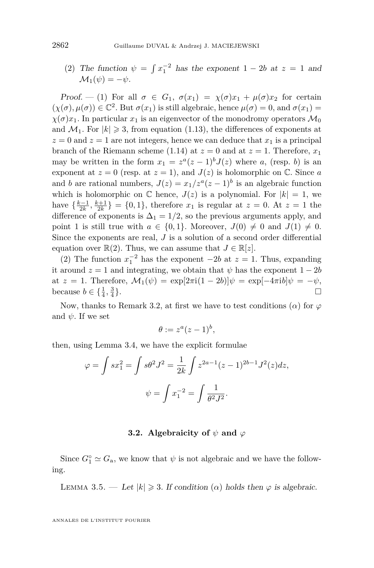<span id="page-24-0"></span>(2) The function  $\psi = \int x_1^{-2}$  has the exponent  $1 - 2b$  at  $z = 1$  and  $M_1(\psi) = -\psi$ .

Proof. — (1) For all  $\sigma \in G_1$ ,  $\sigma(x_1) = \chi(\sigma)x_1 + \mu(\sigma)x_2$  for certain  $(\chi(\sigma), \mu(\sigma)) \in \mathbb{C}^2$ . But  $\sigma(x_1)$  is still algebraic, hence  $\mu(\sigma) = 0$ , and  $\sigma(x_1) = 0$  $\chi(\sigma)x_1$ . In particular  $x_1$  is an eigenvector of the monodromy operators  $\mathcal{M}_0$ and  $\mathcal{M}_1$ . For  $|k| \geq 3$ , from equation [\(1.13\)](#page-6-0), the differences of exponents at  $z = 0$  and  $z = 1$  are not integers, hence we can deduce that  $x_1$  is a principal branch of the Riemann scheme [\(1.14\)](#page-6-0) at  $z = 0$  and at  $z = 1$ . Therefore,  $x_1$ may be written in the form  $x_1 = z^a(z-1)^b J(z)$  where *a*, (resp. *b*) is an exponent at  $z = 0$  (resp. at  $z = 1$ ), and  $J(z)$  is holomorphic on  $\mathbb{C}$ . Since *a* and *b* are rational numbers,  $J(z) = x_1/z^a(z-1)^b$  is an algebraic function which is holomorphic on  $\mathbb C$  hence,  $J(z)$  is a polynomial. For  $|k|=1$ , we have  $\{\frac{k-1}{2k}, \frac{k+1}{2k}\} = \{0, 1\}$ , therefore  $x_1$  is regular at  $z = 0$ . At  $z = 1$  the difference of exponents is  $\Delta_1 = 1/2$ , so the previous arguments apply, and point 1 is still true with  $a \in \{0,1\}$ . Moreover,  $J(0) \neq 0$  and  $J(1) \neq 0$ . Since the exponents are real, *J* is a solution of a second order differential equation over  $\mathbb{R}(2)$ . Thus, we can assume that  $J \in \mathbb{R}[z]$ .

(2) The function  $x_1^{-2}$  has the exponent *−2b* at  $z = 1$ . Thus, expanding it around  $z = 1$  and integrating, we obtain that  $\psi$  has the exponent  $1 - 2b$  $\alpha t \, z = 1$ . Therefore,  $\mathcal{M}_1(\psi) = \exp[2\pi i(1-2b)]\psi = \exp[-4\pi i b]\psi = -\psi$ , because  $b \in \{\frac{1}{4}, \frac{3}{4}\}$ **}**. □

Now, thanks to Remark [3.2,](#page-22-0) at first we have to test conditions  $(\alpha)$  for  $\varphi$ and  $\psi$ . If we set

$$
\theta := z^a (z-1)^b,
$$

then, using Lemma [3.4,](#page-23-0) we have the explicit formulae

$$
\varphi = \int sx_1^2 = \int s\theta^2 J^2 = \frac{1}{2k} \int z^{2a-1} (z-1)^{2b-1} J^2(z) dz,
$$
  

$$
\psi = \int x_1^{-2} = \int \frac{1}{\theta^2 J^2}.
$$

#### **3.2. Algebraicity of** *ψ* **and** *ϕ*

Since  $G_1^{\circ} \simeq G_a$ , we know that  $\psi$  is not algebraic and we have the following.

LEMMA 3.5. — Let  $|k| \ge 3$ . If condition  $(\alpha)$  holds then  $\varphi$  is algebraic.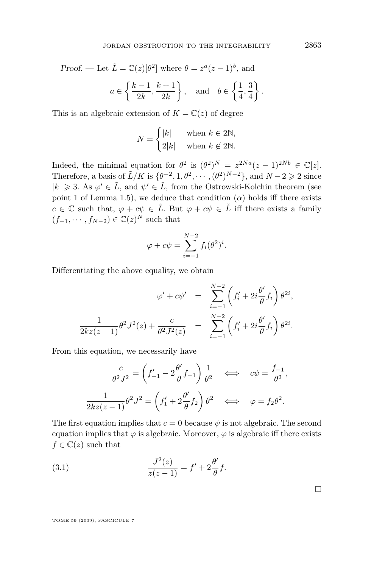<span id="page-25-0"></span>Proof. — Let 
$$
\tilde{L} = \mathbb{C}(z)[\theta^2]
$$
 where  $\theta = z^a(z-1)^b$ , and  
\n $a \in \left\{ \frac{k-1}{2k}, \frac{k+1}{2k} \right\}$ , and  $b \in \left\{ \frac{1}{4}, \frac{3}{4} \right\}$ .

This is an algebraic extension of  $K = \mathbb{C}(z)$  of degree

$$
N = \begin{cases} |k| & \text{when } k \in 2\mathbb{N}, \\ 2|k| & \text{when } k \not\in 2\mathbb{N}. \end{cases}
$$

Indeed, the minimal equation for  $\theta^2$  is  $(\theta^2)^N = z^{2Na}(z-1)^{2Nb} \in \mathbb{C}[z]$ . Therefore, a basis of  $\tilde{L}/K$  is  $\{\theta^{-2}, 1, \theta^2, \cdots, (\theta^2)^{N-2}\}\$ , and  $N-2 \geq 2$  since  $|k| \geq 3$ . As  $\varphi' \in \tilde{L}$ , and  $\psi' \in \tilde{L}$ , from the Ostrowski-Kolchin theorem (see point 1 of Lemma [1.5\)](#page-7-0), we deduce that condition  $(\alpha)$  holds iff there exists *c* ∈  $\mathbb{C}$  such that,  $\varphi + c\psi \in \tilde{L}$ . But  $\varphi + c\psi \in \tilde{L}$  iff there exists a family  $(f_{-1}, \dots, f_{N-2}) \in \mathbb{C}(z)^N$  such that

$$
\varphi + c\psi = \sum_{i=-1}^{N-2} f_i(\theta^2)^i.
$$

Differentiating the above equality, we obtain

$$
\varphi' + c\psi' = \sum_{i=-1}^{N-2} \left( f'_i + 2i \frac{\theta'}{\theta} f_i \right) \theta^{2i},
$$
  

$$
\frac{1}{2kz(z-1)} \theta^2 J^2(z) + \frac{c}{\theta^2 J^2(z)} = \sum_{i=-1}^{N-2} \left( f'_i + 2i \frac{\theta'}{\theta} f_i \right) \theta^{2i}.
$$

From this equation, we necessarily have

$$
\frac{c}{\theta^2 J^2} = \left(f'_{-1} - 2\frac{\theta'}{\theta} f_{-1}\right) \frac{1}{\theta^2} \iff c\psi = \frac{f_{-1}}{\theta^2},
$$

$$
\frac{1}{2kz(z-1)}\theta^2 J^2 = \left(f'_1 + 2\frac{\theta'}{\theta} f_2\right)\theta^2 \iff \varphi = f_2\theta^2.
$$

The first equation implies that  $c = 0$  because  $\psi$  is not algebraic. The second equation implies that  $\varphi$  is algebraic. Moreover,  $\varphi$  is algebraic iff there exists  $f \in \mathbb{C}(z)$  such that

(3.1) 
$$
\frac{J^2(z)}{z(z-1)} = f' + 2\frac{\theta'}{\theta}f.
$$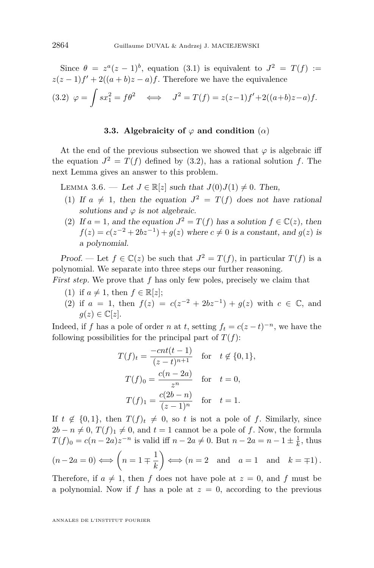<span id="page-26-0"></span>Since  $\theta = z^a(z-1)^b$ , equation [\(3.1\)](#page-25-0) is equivalent to  $J^2 = T(f) :=$  $z(z-1)f' + 2((a+b)z-a)f$ . Therefore we have the equivalence  $(3.2)$   $\varphi = \int sx_1^2 = f\theta^2 \iff J^2 = T(f) = z(z-1)f' + 2((a+b)z-a)f.$ 

#### **3.3.** Algebraicity of  $\varphi$  and condition  $(\alpha)$

At the end of the previous subsection we showed that  $\varphi$  is algebraic iff the equation  $J^2 = T(f)$  defined by (3.2), has a rational solution f. The next Lemma gives an answer to this problem.

LEMMA 3.6. − Let  $J \in \mathbb{R}[z]$  such that  $J(0)J(1) \neq 0$ . Then,

- (1) If  $a \neq 1$ , then the equation  $J^2 = T(f)$  does not have rational solutions and  $\varphi$  is not algebraic.
- (2) If  $a = 1$ , and the equation  $J^2 = T(f)$  has a solution  $f \in \mathbb{C}(z)$ , then  $f(z) = c(z^{-2} + 2bz^{-1}) + g(z)$  where  $c \neq 0$  is a constant, and  $g(z)$  is a polynomial.

Proof. — Let  $f \in \mathbb{C}(z)$  be such that  $J^2 = T(f)$ , in particular  $T(f)$  is a polynomial. We separate into three steps our further reasoning.

*First step.* We prove that *f* has only few poles, precisely we claim that

- (1) if  $a \neq 1$ , then  $f \in \mathbb{R}[z]$ ;
- (2) if  $a = 1$ , then  $f(z) = c(z^{-2} + 2bz^{-1}) + g(z)$  with  $c \in \mathbb{C}$ , and  $g(z) \in \mathbb{C}[z]$ .

Indeed, if *f* has a pole of order *n* at *t*, setting  $f_t = c(z-t)^{-n}$ , we have the following possibilities for the principal part of  $T(f)$ :

$$
T(f)_t = \frac{-cnt(t-1)}{(z-t)^{n+1}} \quad \text{for} \quad t \notin \{0, 1\},
$$
  

$$
T(f)_0 = \frac{c(n-2a)}{z^n} \quad \text{for} \quad t = 0,
$$
  

$$
T(f)_1 = \frac{c(2b-n)}{(z-1)^n} \quad \text{for} \quad t = 1.
$$

If  $t \notin \{0,1\}$ , then  $T(f)_t \neq 0$ , so *t* is not a pole of *f*. Similarly, since  $2b - n \neq 0$ ,  $T(f)_1 \neq 0$ , and  $t = 1$  cannot be a pole of *f*. Now, the formula *T*(*f*)<sub>0</sub> =  $c(n-2a)z^{-n}$  is valid iff  $n-2a \neq 0$ . But  $n-2a = n-1 \pm \frac{1}{k}$ , thus  $(n-2a=0) \Longleftrightarrow (n=1 \mp \frac{1}{b})$ *k*  $\left(\right) \Longleftrightarrow (n=2 \text{ and } a=1 \text{ and } k=\pm 1).$ 

Therefore, if  $a \neq 1$ , then *f* does not have pole at  $z = 0$ , and *f* must be a polynomial. Now if  $f$  has a pole at  $z = 0$ , according to the previous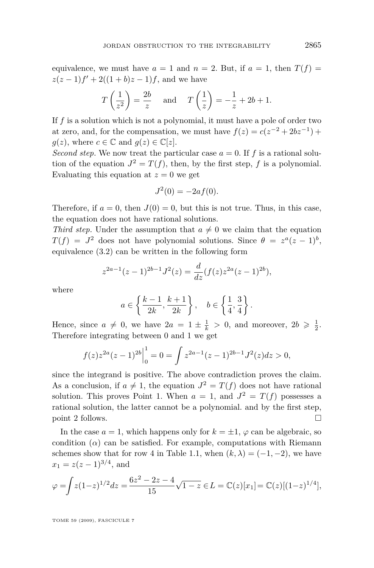equivalence, we must have  $a = 1$  and  $n = 2$ . But, if  $a = 1$ , then  $T(f) =$  $z(z-1)f' + 2((1+b)z-1)f$ , and we have

$$
T\left(\frac{1}{z^2}\right) = \frac{2b}{z}
$$
 and  $T\left(\frac{1}{z}\right) = -\frac{1}{z} + 2b + 1.$ 

If *f* is a solution which is not a polynomial, it must have a pole of order two at zero, and, for the compensation, we must have  $f(z) = c(z^{-2} + 2bz^{-1}) +$  $q(z)$ , where  $c \in \mathbb{C}$  and  $q(z) \in \mathbb{C}[z]$ .

*Second step.* We now treat the particular case  $a = 0$ . If f is a rational solution of the equation  $J^2 = T(f)$ , then, by the first step, f is a polynomial. Evaluating this equation at  $z = 0$  we get

$$
J^2(0) = -2af(0).
$$

Therefore, if  $a = 0$ , then  $J(0) = 0$ , but this is not true. Thus, in this case, the equation does not have rational solutions.

*Third step.* Under the assumption that  $a \neq 0$  we claim that the equation  $T(f) = J^2$  does not have polynomial solutions. Since  $\theta = z^a(z-1)^b$ , equivalence [\(3.2\)](#page-26-0) can be written in the following form

$$
z^{2a-1}(z-1)^{2b-1}J^2(z) = \frac{d}{dz}(f(z)z^{2a}(z-1)^{2b}),
$$

where

$$
a \in \left\{ \frac{k-1}{2k}, \frac{k+1}{2k} \right\}, \quad b \in \left\{ \frac{1}{4}, \frac{3}{4} \right\}.
$$

Hence, since  $a \neq 0$ , we have  $2a = 1 \pm \frac{1}{k} > 0$ , and moreover,  $2b \geq \frac{1}{2}$ . Therefore integrating between 0 and 1 we get

$$
f(z)z^{2a}(z-1)^{2b}\Big|_0^1 = 0 = \int z^{2a-1}(z-1)^{2b-1}J^2(z)dz > 0,
$$

since the integrand is positive. The above contradiction proves the claim. As a conclusion, if  $a \neq 1$ , the equation  $J^2 = T(f)$  does not have rational solution. This proves Point 1. When  $a = 1$ , and  $J^2 = T(f)$  possesses a rational solution, the latter cannot be a polynomial. and by the first step, point 2 follows.

In the case  $a = 1$ , which happens only for  $k = \pm 1$ ,  $\varphi$  can be algebraic, so condition  $(\alpha)$  can be satisfied. For example, computations with Riemann schemes show that for row 4 in Table [1.1,](#page-3-0) when  $(k, \lambda) = (-1, -2)$ , we have  $x_1 = z(z-1)^{3/4}$ , and

$$
\varphi = \int z(1-z)^{1/2} dz = \frac{6z^2 - 2z - 4}{15} \sqrt{1-z} \in L = \mathbb{C}(z)[x_1] = \mathbb{C}(z)[(1-z)^{1/4}],
$$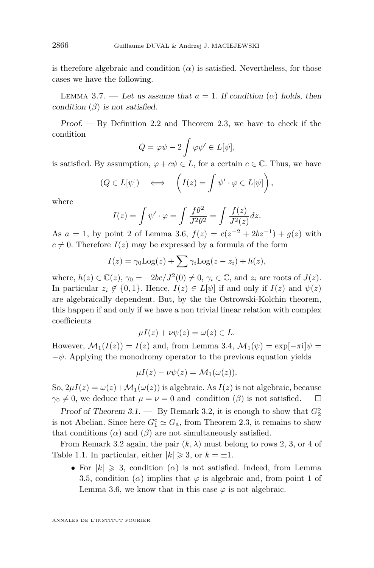is therefore algebraic and condition  $(\alpha)$  is satisfied. Nevertheless, for those cases we have the following.

LEMMA 3.7. — Let us assume that  $a = 1$ . If condition  $(\alpha)$  holds, then condition  $(\beta)$  is not satisfied.

Proof. — By Definition [2.2](#page-12-0) and Theorem [2.3,](#page-12-0) we have to check if the condition

$$
Q = \varphi \psi - 2 \int \varphi \psi' \in L[\psi],
$$

is satisfied. By assumption,  $\varphi + c\psi \in L$ , for a certain  $c \in \mathbb{C}$ . Thus, we have

$$
(Q \in L[\psi]) \iff \left(I(z) = \int \psi' \cdot \varphi \in L[\psi]\right),\,
$$

where

$$
I(z) = \int \psi' \cdot \varphi = \int \frac{f\theta^2}{J^2\theta^2} = \int \frac{f(z)}{J^2(z)} dz.
$$

As  $a = 1$ , by point 2 of Lemma [3.6,](#page-26-0)  $f(z) = c(z^{-2} + 2bz^{-1}) + g(z)$  with  $c \neq 0$ . Therefore  $I(z)$  may be expressed by a formula of the form

$$
I(z) = \gamma_0 \text{Log}(z) + \sum \gamma_i \text{Log}(z - z_i) + h(z),
$$

where,  $h(z) \in \mathbb{C}(z)$ ,  $\gamma_0 = -2bc/J^2(0) \neq 0$ ,  $\gamma_i \in \mathbb{C}$ , and  $z_i$  are roots of  $J(z)$ . In particular  $z_i \notin \{0,1\}$ . Hence,  $I(z) \in L[\psi]$  if and only if  $I(z)$  and  $\psi(z)$ are algebraically dependent. But, by the the Ostrowski-Kolchin theorem, this happen if and only if we have a non trivial linear relation with complex coefficients

$$
\mu I(z) + \nu \psi(z) = \omega(z) \in L.
$$

However,  $\mathcal{M}_1(I(z)) = I(z)$  and, from Lemma [3.4,](#page-23-0)  $\mathcal{M}_1(\psi) = \exp[-\pi i]\psi =$ *−ψ*. Applying the monodromy operator to the previous equation yields

$$
\mu I(z) - \nu \psi(z) = \mathcal{M}_1(\omega(z)).
$$

So,  $2\mu I(z) = \omega(z) + \mathcal{M}_1(\omega(z))$  is algebraic. As  $I(z)$  is not algebraic, because  $\gamma_0 \neq 0$ , we deduce that  $\mu = \nu = 0$  and condition (*β*) is not satisfied.  $\square$ 

Proof of Theorem [3.1.](#page-22-0) — By Remark [3.2,](#page-22-0) it is enough to show that  $G_2^{\circ}$ is not Abelian. Since here  $G_1^{\circ} \simeq G_a$ , from Theorem [2.3,](#page-12-0) it remains to show that conditions  $(\alpha)$  and  $(\beta)$  are not simultaneously satisfied.

From Remark [3.2](#page-22-0) again, the pair  $(k, \lambda)$  must belong to rows 2, 3, or 4 of Table [1.1.](#page-3-0) In particular, either  $|k| \geq 3$ , or  $k = \pm 1$ .

• For  $|k| \geq 3$ , condition  $(\alpha)$  is not satisfied. Indeed, from Lemma [3.5,](#page-24-0) condition ( $\alpha$ ) implies that  $\varphi$  is algebraic and, from point 1 of Lemma [3.6,](#page-26-0) we know that in this case  $\varphi$  is not algebraic.

<span id="page-28-0"></span>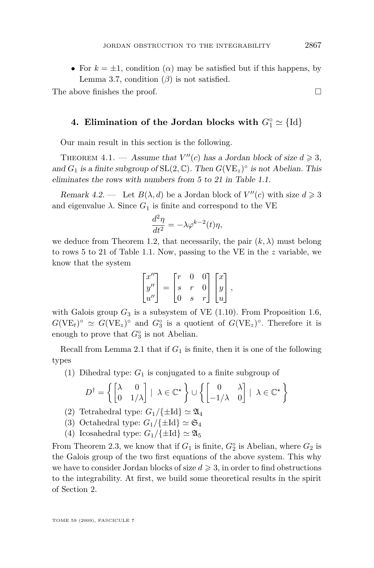<span id="page-29-0"></span>• For  $k = \pm 1$ , condition ( $\alpha$ ) may be satisfied but if this happens, by Lemma [3.7,](#page-28-0) condition  $(\beta)$  is not satisfied.

The above finishes the proof.  $\square$ 

## **4. Elimination of the Jordan blocks with**  $G_1^\circ \simeq \{Id\}$

Our main result in this section is the following.

THEOREM 4.1. — Assume that  $V''(c)$  has a Jordan block of size  $d \geq 3$ , and  $G_1$  is a finite subgroup of  $SL(2, \mathbb{C})$ . Then  $G(VE_z)^\circ$  is not Abelian. This eliminates the rows with numbers from 5 to 21 in Table [1.1.](#page-3-0)

Remark 4.2. — Let  $B(\lambda, d)$  be a Jordan block of  $V''(c)$  with size  $d \geq 3$ and eigenvalue  $\lambda$ . Since  $G_1$  is finite and correspond to the VE

$$
\frac{d^2\eta}{dt^2} = -\lambda \varphi^{k-2}(t)\eta,
$$

we deduce from Theorem [1.2,](#page-2-0) that necessarily, the pair  $(k, \lambda)$  must belong to rows 5 to 21 of Table [1.1.](#page-3-0) Now, passing to the VE in the *z* variable, we know that the system

$$
\begin{bmatrix} x'' \\ y'' \\ u'' \end{bmatrix} = \begin{bmatrix} r & 0 & 0 \\ s & r & 0 \\ 0 & s & r \end{bmatrix} \begin{bmatrix} x \\ y \\ u \end{bmatrix},
$$

with Galois group  $G_3$  is a subsystem of VE  $(1.10)$ . From Proposition [1.6,](#page-9-0)  $G(VE_t)^\circ \simeq G(VE_z)^\circ$  and  $G_3^\circ$  is a quotient of  $G(VE_z)^\circ$ . Therefore it is enough to prove that  $G_3^{\circ}$  is not Abelian.

Recall from Lemma [2.1](#page-11-0) that if  $G_1$  is finite, then it is one of the following types

(1) Dihedral type: *G*<sup>1</sup> is conjugated to a finite subgroup of

$$
D^{\dagger} = \left\{ \begin{bmatrix} \lambda & 0 \\ 0 & 1/\lambda \end{bmatrix} \mid \ \lambda \in \mathbb{C}^{\star} \right\} \cup \left\{ \begin{bmatrix} 0 & \lambda \\ -1/\lambda & 0 \end{bmatrix} \mid \ \lambda \in \mathbb{C}^{\star} \right\}
$$

- (2) Tetrahedral type:  $G_1/\{\pm \mathrm{Id}\}\simeq \mathfrak{A}_4$
- (3) Octahedral type:  $G_1/\{\pm \mathrm{Id}\}\simeq \mathfrak{S}_4$
- (4) Icosahedral type:  $G_1/\{\pm I d\} \simeq \mathfrak{A}_5$

From Theorem [2.3,](#page-12-0) we know that if  $G_1$  is finite,  $G_2^{\circ}$  is Abelian, where  $G_2$  is the Galois group of the two first equations of the above system. This why we have to consider Jordan blocks of size  $d \geqslant 3$ , in order to find obstructions to the integrability. At first, we build some theoretical results in the spirit of Section 2.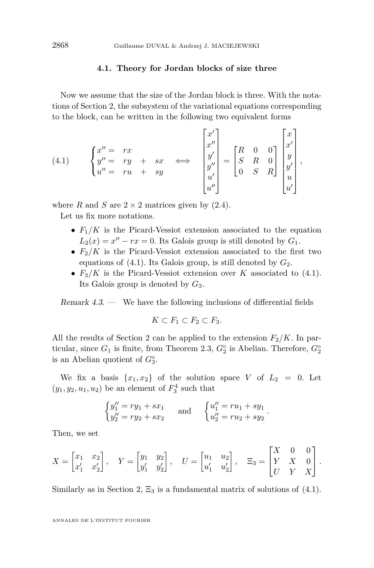#### **4.1. Theory for Jordan blocks of size three**

Now we assume that the size of the Jordan block is three. With the notations of Section 2, the subsystem of the variational equations corresponding to the block, can be written in the following two equivalent forms

(4.1) 
$$
\begin{cases} x'' = rx \\ y'' = ry + sx \\ u'' = ru + sy \end{cases} \Longleftrightarrow \begin{bmatrix} x' \\ x'' \\ y' \\ y'' \\ u' \end{bmatrix} = \begin{bmatrix} R & 0 & 0 \\ S & R & 0 \\ 0 & S & R \end{bmatrix} \begin{bmatrix} x \\ x' \\ y \\ y' \\ u' \end{bmatrix},
$$

where *R* and *S* are  $2 \times 2$  matrices given by [\(2.4\)](#page-13-0).

Let us fix more notations.

- $F_1/K$  is the Picard-Vessiot extension associated to the equation  $L_2(x) = x'' - rx = 0$ . Its Galois group is still denoted by  $G_1$ .
- $F_2/K$  is the Picard-Vessiot extension associated to the first two equations of  $(4.1)$ . Its Galois group, is still denoted by  $G_2$ .
- $F_3/K$  is the Picard-Vessiot extension over *K* associated to (4.1). Its Galois group is denoted by *G*3.

Remark 4.3. — We have the following inclusions of differential fields

$$
K \subset F_1 \subset F_2 \subset F_3.
$$

All the results of Section 2 can be applied to the extension  $F_2/K$ . In particular, since  $G_1$  is finite, from Theorem [2.3,](#page-12-0)  $G_2^\circ$  is Abelian. Therefore,  $G_2^\circ$ is an Abelian quotient of *G◦* 3 .

We fix a basis  $\{x_1, x_2\}$  of the solution space *V* of  $L_2 = 0$ . Let  $(y_1, y_2, u_1, u_2)$  be an element of  $F_3^4$  such that

$$
\begin{cases}\ny_1'' = ry_1 + sx_1 \\
y_2'' = ry_2 + sx_2\n\end{cases} \text{ and } \begin{cases}\nu_1'' = ru_1 + sy_1 \\
u_2'' = ru_2 + sy_2\n\end{cases}.
$$

Then, we set

$$
X = \begin{bmatrix} x_1 & x_2 \\ x'_1 & x'_2 \end{bmatrix}, \quad Y = \begin{bmatrix} y_1 & y_2 \\ y'_1 & y'_2 \end{bmatrix}, \quad U = \begin{bmatrix} u_1 & u_2 \\ u'_1 & u'_2 \end{bmatrix}, \quad \Xi_3 = \begin{bmatrix} X & 0 & 0 \\ Y & X & 0 \\ U & Y & X \end{bmatrix}.
$$

Similarly as in Section 2,  $\Xi_3$  is a fundamental matrix of solutions of (4.1).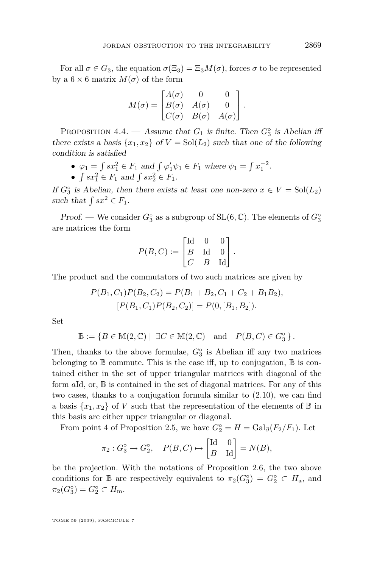<span id="page-31-0"></span>For all  $\sigma \in G_3$ , the equation  $\sigma(\Xi_3) = \Xi_3 M(\sigma)$ , forces  $\sigma$  to be represented by a  $6 \times 6$  matrix  $M(\sigma)$  of the form

$$
M(\sigma) = \begin{bmatrix} A(\sigma) & 0 & 0 \\ B(\sigma) & A(\sigma) & 0 \\ C(\sigma) & B(\sigma) & A(\sigma) \end{bmatrix}.
$$

PROPOSITION 4.4. — Assume that  $G_1$  is finite. Then  $G_3^{\circ}$  is Abelian iff there exists a basis  $\{x_1, x_2\}$  of  $V = Sol(L_2)$  such that one of the following condition is satisfied

- $\varphi_1 = \int sx_1^2 \in F_1 \text{ and } \int \varphi'_1 \psi_1 \in F_1 \text{ where } \psi_1 = \int x_1^{-2}$ .
- $\int sx_1^2 \in F_1$  and  $\int sx_2^2 \in F_1$ .

If  $G_3^{\circ}$  is Abelian, then there exists at least one non-zero  $x \in V = \text{Sol}(L_2)$ such that  $\int sx^2 \in F_1$ .

Proof. — We consider  $G_3^{\circ}$  as a subgroup of SL(6,  $\mathbb{C}$ ). The elements of  $G_3^{\circ}$ are matrices the form

$$
P(B, C) := \begin{bmatrix} \text{Id} & 0 & 0 \\ B & \text{Id} & 0 \\ C & B & \text{Id} \end{bmatrix}.
$$

The product and the commutators of two such matrices are given by

$$
P(B_1, C_1)P(B_2, C_2) = P(B_1 + B_2, C_1 + C_2 + B_1B_2),
$$
  
\n
$$
[P(B_1, C_1)P(B_2, C_2)] = P(0, [B_1, B_2]).
$$

Set

$$
\mathbb{B} := \{ B \in \mathbb{M}(2, \mathbb{C}) \mid \exists C \in \mathbb{M}(2, \mathbb{C}) \text{ and } P(B, C) \in G_3^{\circ} \}.
$$

Then, thanks to the above formulae, *G◦* 3 is Abelian iff any two matrices belonging to  $\mathbb B$  commute. This is the case iff, up to conjugation,  $\mathbb B$  is contained either in the set of upper triangular matrices with diagonal of the form *a*Id, or, B is contained in the set of diagonal matrices. For any of this two cases, thanks to a conjugation formula similar to [\(2.10\)](#page-16-0), we can find a basis  $\{x_1, x_2\}$  of *V* such that the representation of the elements of  $\mathbb B$  in this basis are either upper triangular or diagonal.

From point 4 of Proposition [2.5,](#page-14-0) we have  $G_2^\circ = H = \text{Gal}_{\partial}(F_2/F_1)$ . Let

$$
\pi_2: G_3^{\circ} \to G_2^{\circ}, \quad P(B, C) \mapsto \begin{bmatrix} \text{Id} & 0 \\ B & \text{Id} \end{bmatrix} = N(B),
$$

be the projection. With the notations of Proposition [2.6,](#page-16-0) the two above conditions for  $\mathbb B$  are respectively equivalent to  $\pi_2(G_3^{\circ}) = G_2^{\circ} \subset H_{\rm a}$ , and  $\pi_2(G_3^{\circ}) = G_2^{\circ} \subset H_m.$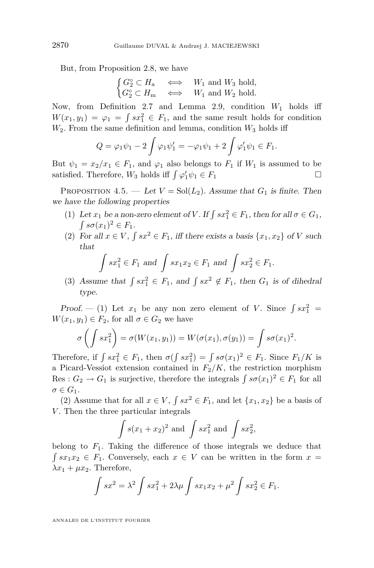<span id="page-32-0"></span>But, from Proposition [2.8,](#page-17-0) we have

$$
\begin{cases} G_2^{\circ} \subset H_{\mathbf{a}} & \Longleftrightarrow & W_1 \text{ and } W_3 \text{ hold,} \\ G_2^{\circ} \subset H_{\mathbf{m}} & \Longleftrightarrow & W_1 \text{ and } W_2 \text{ hold.} \end{cases}
$$

Now, from Definition [2.7](#page-17-0) and Lemma [2.9,](#page-19-0) condition  $W_1$  holds iff  $W(x_1, y_1) = \varphi_1 = \int sx_1^2 \in F_1$ , and the same result holds for condition  $W_2$ . From the same definition and lemma, condition  $W_3$  holds iff

$$
Q = \varphi_1 \psi_1 - 2 \int \varphi_1 \psi_1' = -\varphi_1 \psi_1 + 2 \int \varphi_1' \psi_1 \in F_1.
$$

But  $\psi_1 = x_2/x_1 \in F_1$ , and  $\varphi_1$  also belongs to  $F_1$  if  $W_1$  is assumed to be satisfied. Therefore,  $W_3$  holds iff  $\int \varphi'_1 \psi_1 \in F_1$ 

PROPOSITION 4.5. — Let  $V = Sol(L_2)$ . Assume that  $G_1$  is finite. Then we have the following properties

- (1) Let  $x_1$  be a non-zero element of *V*. If  $\int sx_1^2 \in F_1$ , then for all  $\sigma \in G_1$ ,  $\int s\sigma(x_1)^2 \in F_1$ .
- (2) For all  $x \in V$ ,  $\int sx^2 \in F_1$ , iff there exists a basis  $\{x_1, x_2\}$  of *V* such that

$$
\int sx_1^2 \in F_1 \text{ and } \int sx_1x_2 \in F_1 \text{ and } \int sx_2^2 \in F_1.
$$

(3) Assume that  $\int sx_1^2 \in F_1$ , and  $\int sx^2 \notin F_1$ , then  $G_1$  is of dihedral type.

Proof.  $-$  (1) Let  $x_1$  be any non zero element of *V*. Since  $\int sx_1^2 =$  $W(x_1, y_1) \in F_2$ , for all  $\sigma \in G_2$  we have

$$
\sigma\left(\int sx_1^2\right) = \sigma(W(x_1, y_1)) = W(\sigma(x_1), \sigma(y_1)) = \int s\sigma(x_1)^2.
$$

Therefore, if  $\int sx_1^2 \in F_1$ , then  $\sigma(\int sx_1^2) = \int s\sigma(x_1)^2 \in F_1$ . Since  $F_1/K$  is a Picard-Vessiot extension contained in  $F_2/K$ , the restriction morphism Res :  $G_2 \to G_1$  is surjective, therefore the integrals  $\int s\sigma(x_1)^2 \in F_1$  for all  $\sigma \in G_1$ .

(2) Assume that for all  $x \in V$ ,  $\int sx^2 \in F_1$ , and let  $\{x_1, x_2\}$  be a basis of *V*. Then the three particular integrals

$$
\int s(x_1 + x_2)^2
$$
 and 
$$
\int sx_1^2
$$
 and 
$$
\int sx_2^2
$$
,

belong to  $F_1$ . Taking the difference of those integrals we deduce that  $\int sx_1x_2 \in F_1$ . Conversely, each  $x \in V$  can be written in the form  $x =$  $\lambda x_1 + \mu x_2$ . Therefore,

$$
\int sx^2 = \lambda^2 \int sx_1^2 + 2\lambda\mu \int sx_1x_2 + \mu^2 \int sx_2^2 \in F_1.
$$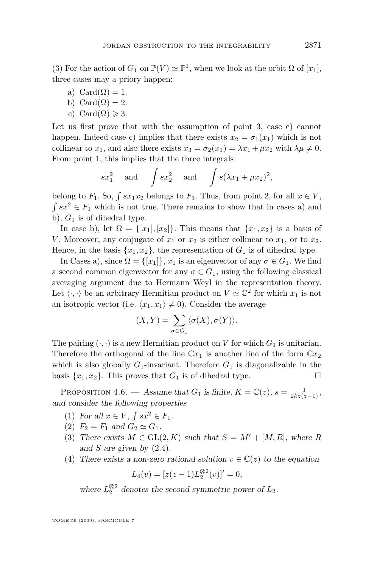<span id="page-33-0"></span>(3) For the action of  $G_1$  on  $\mathbb{P}(V) \simeq \mathbb{P}^1$ , when we look at the orbit  $\Omega$  of  $[x_1]$ , three cases may a priory happen:

- a) Card $(\Omega) = 1$ .
- b) Card $(\Omega) = 2$ .
- c) Card $(\Omega) \geqslant 3$ .

Let us first prove that with the assumption of point 3, case c) cannot happen. Indeed case c) implies that there exists  $x_2 = \sigma_1(x_1)$  which is not collinear to  $x_1$ , and also there exists  $x_3 = \sigma_2(x_1) = \lambda x_1 + \mu x_2$  with  $\lambda \mu \neq 0$ . From point 1, this implies that the three integrals

$$
sx_1^2 \quad \text{and} \quad \int sx_2^2 \quad \text{and} \quad \int s(\lambda x_1 + \mu x_2)^2,
$$

belong to  $F_1$ . So,  $\int sx_1x_2$  belongs to  $F_1$ . Thus, from point 2, for all  $x \in V$ ,  $\int sx^2 \in F_1$  which is not true. There remains to show that in cases a) and b),  $G_1$  is of dihedral type.

In case b), let  $\Omega = \{[x_1], [x_2]\}$ . This means that  $\{x_1, x_2\}$  is a basis of *V*. Moreover, any conjugate of  $x_1$  or  $x_2$  is either collinear to  $x_1$ , or to  $x_2$ . Hence, in the basis  $\{x_1, x_2\}$ , the representation of  $G_1$  is of dihedral type.

In Cases a), since  $\Omega = \{ [x_1] \}$ ,  $x_1$  is an eigenvector of any  $\sigma \in G_1$ . We find a second common eigenvector for any  $\sigma \in G_1$ , using the following classical averaging argument due to Hermann Weyl in the representation theory. Let  $\langle \cdot, \cdot \rangle$  be an arbitrary Hermitian product on  $V \simeq \mathbb{C}^2$  for which  $x_1$  is not an isotropic vector (i.e.  $\langle x_1, x_1 \rangle \neq 0$ ). Consider the average

$$
(X,Y) = \sum_{\sigma \in G_1} \langle \sigma(X), \sigma(Y) \rangle.
$$

The pairing  $(\cdot, \cdot)$  is a new Hermitian product on *V* for which  $G_1$  is unitarian. Therefore the orthogonal of the line  $\mathbb{C}x_1$  is another line of the form  $\mathbb{C}x_2$ which is also globally  $G_1$ -invariant. Therefore  $G_1$  is diagonalizable in the basis  $\{x_1, x_2\}$ . This proves that  $G_1$  is of dihedral type.

PROPOSITION 4.6. — Assume that  $G_1$  is finite,  $K = \mathbb{C}(z)$ ,  $s = \frac{1}{2kz(z-1)}$ , and consider the following properties

- (1) For all  $x \in V$ ,  $\int sx^2 \in F_1$ .
- (2)  $F_2 = F_1$  and  $G_2 \simeq G_1$ .
- (3) There exists  $M \in GL(2, K)$  such that  $S = M' + [M, R]$ , where R and *S* are given by [\(2.4\)](#page-13-0).
- (4) There exists a non-zero rational solution  $v \in \mathbb{C}(z)$  to the equation

$$
L_4(v) = [z(z-1)L_2^{\otimes 2}(v)]' = 0,
$$

where  $L_2^{\otimes 2}$  denotes the second symmetric power of  $L_2$ .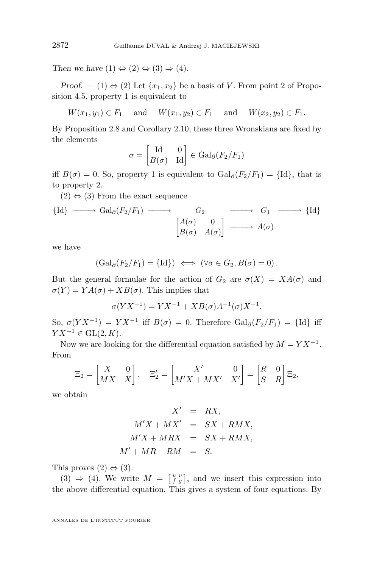Then we have  $(1) \Leftrightarrow (2) \Leftrightarrow (3) \Rightarrow (4)$ .

Proof. — (1)  $\Leftrightarrow$  (2) Let  $\{x_1, x_2\}$  be a basis of *V*. From point 2 of Proposition [4.5,](#page-32-0) property 1 is equivalent to

$$
W(x_1, y_1) \in F_1
$$
 and  $W(x_1, y_2) \in F_1$  and  $W(x_2, y_2) \in F_1$ .

By Proposition [2.8](#page-17-0) and Corollary [2.10,](#page-19-0) these three Wronskians are fixed by the elements

$$
\sigma = \begin{bmatrix} \text{Id} & 0 \\ B(\sigma) & \text{Id} \end{bmatrix} \in \text{Gal}_{\partial}(F_2/F_1)
$$

iff  $B(\sigma) = 0$ . So, property 1 is equivalent to  $Gal_{\partial}(F_2/F_1) = {\text{Id}}$ , that is to property 2.

 $(2) \Leftrightarrow (3)$  From the exact sequence

$$
\{ \text{Id} \} \longrightarrow \text{Gal}_{\partial}(F_2/F_1) \longrightarrow G_2 \longrightarrow G_1 \longrightarrow \{ \text{Id} \}
$$

$$
\begin{bmatrix} A(\sigma) & 0 \\ B(\sigma) & A(\sigma) \end{bmatrix} \longrightarrow G_1 \longrightarrow \{ \text{Id} \}
$$

we have

$$
(\mathrm{Gal}_{\partial}(F_2/F_1) = \{\mathrm{Id}\}) \iff (\forall \sigma \in G_2, B(\sigma) = 0).
$$

But the general formulae for the action of  $G_2$  are  $\sigma(X) = XA(\sigma)$  and  $\sigma(Y) = YA(\sigma) + XB(\sigma)$ . This implies that

$$
\sigma(YX^{-1}) = YX^{-1} + XB(\sigma)A^{-1}(\sigma)X^{-1}.
$$

So,  $\sigma(YX^{-1}) = YX^{-1}$  iff  $B(\sigma) = 0$ . Therefore  $Gal_{\partial}(F_2/F_1) = \{Id\}$  iff *Y X*<sup>−1</sup>  $\in$  GL(2*, K*).

Now we are looking for the differential equation satisfied by  $M = Y X^{-1}$ . From

$$
\Xi_2 = \begin{bmatrix} X & 0 \\ MX & X \end{bmatrix}, \quad \Xi_2' = \begin{bmatrix} X' & 0 \\ M'X + MX' & X' \end{bmatrix} = \begin{bmatrix} R & 0 \\ S & R \end{bmatrix} \Xi_2,
$$

we obtain

$$
X' = RX,
$$
  
\n
$$
M'X + MX' = SX + RMX,
$$
  
\n
$$
M'X + MRX = SX + RMX,
$$
  
\n
$$
M' + MR - RM = S.
$$

This proves  $(2) \Leftrightarrow (3)$ .

 $(3) \Rightarrow (4)$ . We write  $M = \begin{bmatrix} u & v \\ f & g \end{bmatrix}$ , and we insert this expression into the above differential equation. This gives a system of four equations. By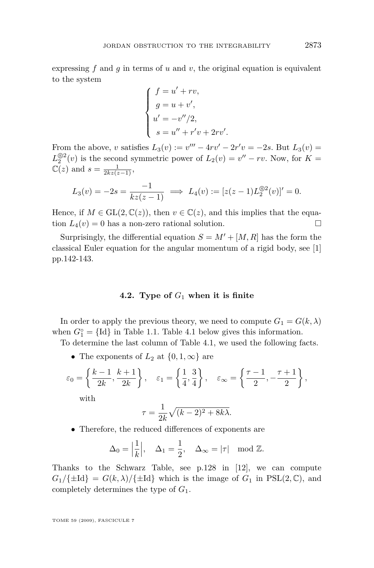expressing  $f$  and  $g$  in terms of  $u$  and  $v$ , the original equation is equivalent to the system

$$
\begin{cases}\nf = u' + rv, \\
g = u + v', \\
u' = -v''/2, \\
s = u'' + r'v + 2rv'.\n\end{cases}
$$

From the above, *v* satisfies  $L_3(v) := v''' - 4rv' - 2r'v = -2s$ . But  $L_3(v) =$  $L_2^{\textcircled{2}}(v)$  is the second symmetric power of  $L_2(v) = v'' - rv$ . Now, for  $K =$  $\mathbb{C}(z)$  and  $s = \frac{1}{2kz(z-1)}$ ,

$$
L_3(v) = -2s = \frac{-1}{kz(z-1)} \implies L_4(v) := [z(z-1)L_2^{\otimes 2}(v)]' = 0.
$$

Hence, if  $M \in GL(2, \mathbb{C}(z))$ , then  $v \in \mathbb{C}(z)$ , and this implies that the equation  $L_4(v) = 0$  has a non-zero rational solution.

Surprisingly, the differential equation  $S = M' + [M, R]$  has the form the classical Euler equation for the angular momentum of a rigid body, see [\[1\]](#page-52-0) pp.142-143.

#### **4.2. Type of** *G*<sup>1</sup> **when it is finite**

In order to apply the previous theory, we need to compute  $G_1 = G(k, \lambda)$ when  $G_1^{\circ} = \{Id\}$  in Table [1.1.](#page-3-0) Table [4.1](#page-36-0) below gives this information.

To determine the last column of Table [4.1,](#page-36-0) we used the following facts.

• The exponents of  $L_2$  at  $\{0, 1, \infty\}$  are

$$
\varepsilon_0 = \left\{ \frac{k-1}{2k}, \frac{k+1}{2k} \right\}, \quad \varepsilon_1 = \left\{ \frac{1}{4}, \frac{3}{4} \right\}, \quad \varepsilon_\infty = \left\{ \frac{\tau-1}{2}, -\frac{\tau+1}{2} \right\},
$$

with

$$
\tau = \frac{1}{2k}\sqrt{(k-2)^2 + 8k\lambda}.
$$

*•* Therefore, the reduced differences of exponents are

$$
\Delta_0 = \left| \frac{1}{k} \right|, \quad \Delta_1 = \frac{1}{2}, \quad \Delta_\infty = |\tau| \mod \mathbb{Z}.
$$

Thanks to the Schwarz Table, see p.128 in [\[12\]](#page-52-0), we can compute  $G_1/\{\pm \mathrm{Id}\} = G(k, \lambda)/\{\pm \mathrm{Id}\}$  which is the image of  $G_1$  in  $PSL(2, \mathbb{C})$ , and completely determines the type of *G*1.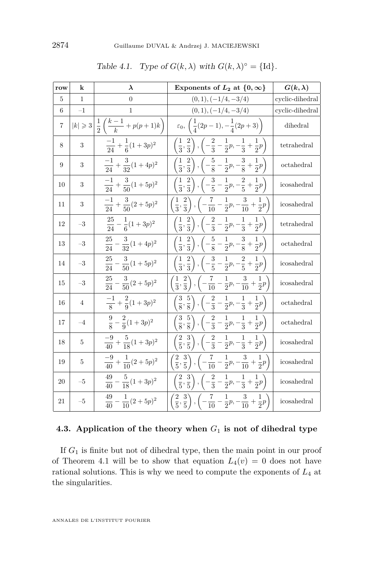<span id="page-36-0"></span>

| row | k                 | $\lambda$                                       | Exponents of $L_2$ at $\{0,\infty\}$                                                                        | $G(k,\lambda)$  |
|-----|-------------------|-------------------------------------------------|-------------------------------------------------------------------------------------------------------------|-----------------|
| 5   | 1                 | $\theta$                                        | $(0,1), (-1/4, -3/4)$                                                                                       | cyclic-dihedral |
| 6   | $-1$              | $\mathbf{1}$                                    | $(0,1), (-1/4, -3/4)$                                                                                       | cyclic-dihedral |
| 7   | $ k  \geqslant 3$ | $\frac{1}{2}\left(\frac{k-1}{k}+p(p+1)k\right)$ | $\varepsilon_0, \left( \frac{1}{4}(2p-1), -\frac{1}{4}(2p+3) \right)$                                       | dihedral        |
| 8   | 3                 | $\frac{-1}{24} + \frac{1}{6}(1+3p)^2$           | $\left(\frac{1}{3},\frac{2}{3}\right), \left(-\frac{2}{3}-\frac{1}{2}p, -\frac{1}{3}+\frac{1}{2}p\right)$   | tetrahedral     |
| 9   | 3                 | $\frac{-1}{24} + \frac{3}{32}(1+4p)^2$          | $\left(\frac{1}{3},\frac{2}{3}\right), \left(-\frac{5}{8}-\frac{1}{2}p,-\frac{3}{8}+\frac{1}{2}p\right)$    | octahedral      |
| 10  | 3                 | $\frac{-1}{24} + \frac{3}{50}(1+5p)^2$          | $\left(\frac{1}{3},\frac{2}{3}\right), \left(-\frac{3}{5}-\frac{1}{2}p,-\frac{2}{5}+\frac{1}{2}p\right)$    | icosahedral     |
| 11  | 3                 | $\frac{-1}{24} + \frac{3}{50}(2+5p)^2$          | $\left(\frac{1}{3},\frac{2}{3}\right), \left(-\frac{7}{10}-\frac{1}{2}p,-\frac{3}{10}+\frac{1}{2}p\right)$  | icosahedral     |
| 12  | $-3$              | $\frac{25}{24} - \frac{1}{6}(1+3p)^2$           | $\left(\frac{1}{3},\frac{2}{3}\right), \left(-\frac{2}{3}-\frac{1}{2}p, -\frac{1}{3}+\frac{1}{2}p\right)$   | tetrahedral     |
| 13  | $-3$              | $\frac{25}{24}$ -<br>$rac{3}{32}(1+4p)^2$       | $\left(\frac{1}{3},\frac{2}{3}\right), \left(-\frac{5}{8}-\frac{1}{2}p,-\frac{3}{8}+\frac{1}{2}p\right)$    | octahedral      |
| 14  | $-3$              | $rac{25}{24} - \frac{3}{50}(1+5p)^2$            | $\left(\frac{1}{3},\frac{2}{3}\right), \left(-\frac{3}{5}-\frac{1}{2}p, -\frac{2}{5}+\frac{1}{2}p\right)$   | icosahedral     |
| 15  | $-3$              | $\frac{25}{24} - \frac{3}{50}(2+5p)^2$          | $\left(\frac{1}{3},\frac{2}{3}\right), \left(-\frac{7}{10}-\frac{1}{2}p,-\frac{3}{10}+\frac{1}{2}p\right)$  | icosahedral     |
| 16  | 4                 | $\frac{-1}{8} + \frac{2}{9}(1+3p)^2$            | $\left(\frac{3}{8},\frac{5}{8}\right), \left(-\frac{2}{3}-\frac{1}{2}p,-\frac{1}{3}+\frac{1}{2}p\right)$    | octahedral      |
| 17  | $-4$              | $\frac{9}{8} - \frac{2}{9}(1+3p)^2$             | $\left(\frac{3}{8},\frac{5}{8}\right), \left(-\frac{2}{3}-\frac{1}{2}p,-\frac{1}{3}+\frac{1}{2}p\right)$    | octahedral      |
| 18  | 5                 | $\frac{-9}{40} + \frac{5}{18}(1+3p)^2$          | $\left(\frac{2}{5},\frac{3}{5}\right), \left(-\frac{2}{3}-\frac{1}{2}p, -\frac{1}{3}+\frac{1}{2}p\right)$   | icosahedral     |
| 19  | 5                 | $\frac{-9}{40} + \frac{1}{10}(2+5p)^2$          | $\left(\frac{2}{5},\frac{3}{5}\right), \left(-\frac{7}{10}-\frac{1}{2}p, -\frac{3}{10}+\frac{1}{2}p\right)$ | icosahedral     |
| 20  | $-5$              | $\frac{49}{40} - \frac{5}{18}(1+3p)^2$          | $\left(\frac{2}{5},\frac{3}{5}\right), \left(-\frac{2}{3}-\frac{1}{2}p,-\frac{1}{3}+\frac{1}{2}p\right)$    | icosahedral     |
| 21  | $-5$              | $\frac{49}{40} - \frac{1}{10}(2+5p)^2$          | $\left(\frac{2}{5},\frac{3}{5}\right), \left(-\frac{7}{10}-\frac{1}{2}p,-\frac{3}{10}+\frac{1}{2}p\right)$  | icosahedral     |

| Table 4.1. Type of $G(k, \lambda)$ with $G(k, \lambda)^\circ = \{Id\}.$ |  |  |  |  |  |
|-------------------------------------------------------------------------|--|--|--|--|--|
|-------------------------------------------------------------------------|--|--|--|--|--|

#### **4.3. Application of the theory when** *G*<sup>1</sup> **is not of dihedral type**

If *G*<sup>1</sup> is finite but not of dihedral type, then the main point in our proof of Theorem [4.1](#page-29-0) will be to show that equation  $L_4(v) = 0$  does not have rational solutions. This is why we need to compute the exponents of *L*<sup>4</sup> at the singularities.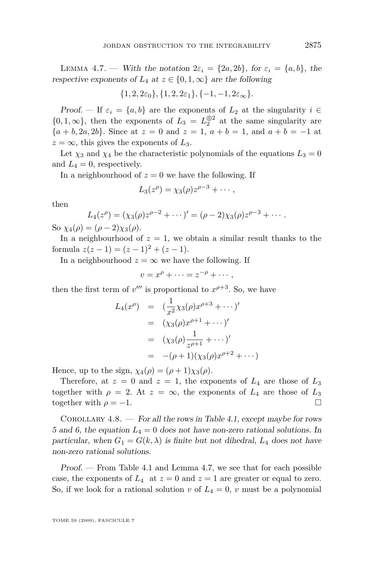<span id="page-37-0"></span>LEMMA 4.7. — With the notation  $2\varepsilon_i = \{2a, 2b\}$ , for  $\varepsilon_i = \{a, b\}$ , the respective exponents of  $L_4$  at  $z \in \{0, 1, \infty\}$  are the following

$$
\{1,2,2\varepsilon_0\},\{1,2,2\varepsilon_1\},\{-1,-1,2\varepsilon_\infty\}.
$$

Proof. — If  $\varepsilon_i = \{a, b\}$  are the exponents of  $L_2$  at the singularity  $i \in$  $\{0, 1, \infty\}$ , then the exponents of  $L_3 = L_2^{\textcircled{s2}}$  at the same singularity are *{a* + *b,* 2*a,* 2*b}*. Since at *z* = 0 and *z* = 1, *a* + *b* = 1, and *a* + *b* = *−*1 at  $z = \infty$ , this gives the exponents of  $L_3$ .

Let  $\chi_3$  and  $\chi_4$  be the characteristic polynomials of the equations  $L_3 = 0$ and  $L_4 = 0$ , respectively.

In a neighbourhood of  $z = 0$  we have the following. If

$$
L_3(z^{\rho}) = \chi_3(\rho) z^{\rho-3} + \cdots,
$$

then

$$
L_4(z^{\rho}) = (\chi_3(\rho)z^{\rho-2} + \cdots)' = (\rho-2)\chi_3(\rho)z^{\rho-3} + \cdots.
$$

So  $\chi_4(\rho) = (\rho - 2)\chi_3(\rho)$ .

In a neighbourhood of  $z = 1$ , we obtain a similar result thanks to the formula  $z(z-1) = (z-1)^2 + (z-1)$ .

In a neighbourhood  $z = \infty$  we have the following. If

 $v = x^{\rho} + \cdots = z^{-\rho} + \cdots,$ 

then the first term of  $v'''$  is proportional to  $x^{\rho+3}$ . So, we have

$$
L_4(x^{\rho}) = \left(\frac{1}{x^2} \chi_3(\rho) x^{\rho+3} + \cdots \right)'
$$
  
=  $(\chi_3(\rho) x^{\rho+1} + \cdots)'$   
=  $(\chi_3(\rho) \frac{1}{z^{\rho+1}} + \cdots)'$   
=  $-(\rho+1)(\chi_3(\rho) x^{\rho+2} + \cdots)$ 

Hence, up to the sign,  $\chi_4(\rho) = (\rho + 1)\chi_3(\rho)$ .

Therefore, at  $z = 0$  and  $z = 1$ , the exponents of  $L_4$  are those of  $L_3$ together with  $\rho = 2$ . At  $z = \infty$ , the exponents of  $L_4$  are those of  $L_3$ together with  $\rho = -1$ .

COROLLARY  $4.8.$  — For all the rows in Table [4.1,](#page-36-0) except maybe for rows 5 and 6, the equation  $L_4 = 0$  does not have non-zero rational solutions. In particular, when  $G_1 = G(k, \lambda)$  is finite but not dihedral,  $L_4$  does not have non-zero rational solutions.

Proof. — From Table [4.1](#page-36-0) and Lemma [4.7,](#page-36-0) we see that for each possible case, the exponents of  $L_4$  at  $z=0$  and  $z=1$  are greater or equal to zero. So, if we look for a rational solution *v* of  $L_4 = 0$ , *v* must be a polynomial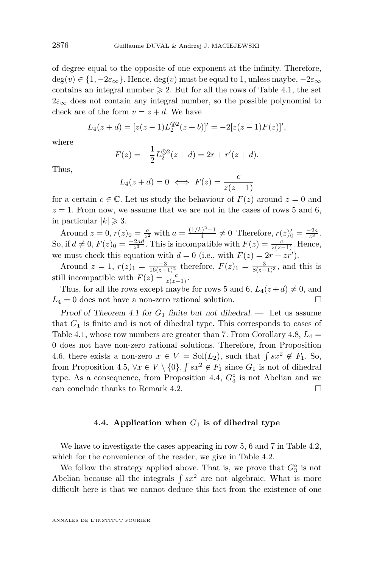of degree equal to the opposite of one exponent at the infinity. Therefore,  $deg(v) \in \{1, -2\varepsilon_{\infty}\}\.$  Hence,  $deg(v)$  must be equal to 1, unless maybe,  $-2\varepsilon_{\infty}$ contains an integral number  $\geq 2$ . But for all the rows of Table [4.1,](#page-36-0) the set  $2\varepsilon_{\infty}$  does not contain any integral number, so the possible polynomial to check are of the form  $v = z + d$ . We have

$$
L_4(z+d) = [z(z-1)L_2^{\otimes 2}(z+b)]' = -2[z(z-1)F(z)]',
$$

where

$$
F(z) = -\frac{1}{2}L_2^{\textcircled{\,2}}(z+d) = 2r + r'(z+d).
$$

Thus,

$$
L_4(z+d) = 0 \iff F(z) = \frac{c}{z(z-1)}
$$

for a certain  $c \in \mathbb{C}$ . Let us study the behaviour of  $F(z)$  around  $z = 0$  and  $z = 1$ . From now, we assume that we are not in the cases of rows 5 and 6, in particular  $|k| \geq 3$ .

Around  $z = 0, r(z)_{0} = \frac{a}{z^{2}}$  with  $a = \frac{(1/k)^{2}-1}{4}$  $f_4^{(r)} \neq 0$  Therefore,  $r(z)_{0}' = \frac{-2a}{z^3}$ . So, if  $d \neq 0$ ,  $F(z)_{0} = \frac{-2ad}{z^{3}}$ . This is incompatible with  $F(z) = \frac{c}{z(z-1)}$ . Hence, we must check this equation with  $d = 0$  (i.e., with  $F(z) = 2r + zr'$ ).

Around  $z = 1$ ,  $r(z)_1 = \frac{-3}{16(z-1)^2}$  therefore,  $F(z)_1 = \frac{3}{8(z-1)^3}$ , and this is still incompatible with  $F(z) = \frac{c}{z(z-1)}$ .

Thus, for all the rows except maybe for rows 5 and 6,  $L_4(z+d) \neq 0$ , and  $L_4 = 0$  does not have a non-zero rational solution.

Proof of Theorem [4.1](#page-29-0) for  $G_1$  finite but not dihedral. — Let us assume that  $G_1$  is finite and is not of dihedral type. This corresponds to cases of Table [4.1,](#page-36-0) whose row numbers are greater than 7. From Corollary  $4.8, L_4 =$  $4.8, L_4 =$ 0 does not have non-zero rational solutions. Therefore, from Proposition [4.6,](#page-33-0) there exists a non-zero  $x \in V = Sol(L_2)$ , such that  $\int sx^2 \notin F_1$ . So, from Proposition [4.5,](#page-32-0)  $\forall x \in V \setminus \{0\}$ ,  $\int sx^2 \notin F_1$  since  $G_1$  is not of dihedral type. As a consequence, from Proposition [4.4,](#page-31-0)  $G^{\circ}_3$  is not Abelian and we can conclude thanks to Remark [4.2.](#page-29-0)  $\Box$ 

#### **4.4. Application when** *G*<sup>1</sup> **is of dihedral type**

We have to investigate the cases appearing in row 5, 6 and 7 in Table [4.2,](#page-39-0) which for the convenience of the reader, we give in Table [4.2.](#page-39-0)

We follow the strategy applied above. That is, we prove that  $G_3^{\circ}$  is not Abelian because all the integrals  $\int s x^2$  are not algebraic. What is more difficult here is that we cannot deduce this fact from the existence of one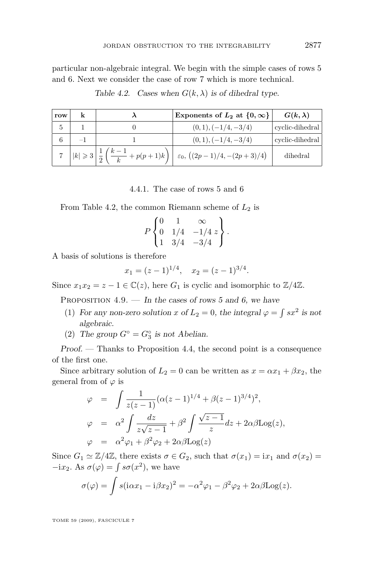<span id="page-39-0"></span>particular non-algebraic integral. We begin with the simple cases of rows 5 and 6. Next we consider the case of row 7 which is more technical.

| row |  | Exponents of $L_2$ at $\{0,\infty\}$                                                                           | $G(k, \lambda)$ |
|-----|--|----------------------------------------------------------------------------------------------------------------|-----------------|
|     |  | $(0,1), (-1/4,-3/4)$                                                                                           | cyclic-dihedral |
|     |  | $(0,1), (-1/4,-3/4)$                                                                                           | cyclic-dihedral |
|     |  | 7   $ k  \ge 3 \left  \frac{1}{2} \left( \frac{k-1}{k} + p(p+1)k \right) \right  \le 0, ((2p-1)/4, -(2p+3)/4)$ | dihedral        |

Table 4.2. Cases when  $G(k, \lambda)$  is of dihedral type.

4.4.1. The case of rows 5 and 6

From Table 4.2, the common Riemann scheme of *L*<sup>2</sup> is

$$
P\begin{Bmatrix} 0 & 1 & \infty \\ 0 & 1/4 & -1/4 z \\ 1 & 3/4 & -3/4 \end{Bmatrix}.
$$

A basis of solutions is therefore

$$
x_1 = (z-1)^{1/4}, \quad x_2 = (z-1)^{3/4}.
$$

Since  $x_1x_2 = z - 1 \in \mathbb{C}(z)$ , here  $G_1$  is cyclic and isomorphic to  $\mathbb{Z}/4\mathbb{Z}$ .

PROPOSITION  $4.9.$  — In the cases of rows 5 and 6, we have

- (1) For any non-zero solution *x* of  $L_2 = 0$ , the integral  $\varphi = \int s x^2$  is not algebraic.
- (2) The group  $G^{\circ} = G_3^{\circ}$  is not Abelian.

Proof. — Thanks to Proposition [4.4,](#page-31-0) the second point is a consequence of the first one.

Since arbitrary solution of  $L_2 = 0$  can be written as  $x = \alpha x_1 + \beta x_2$ , the general from of  $\varphi$  is

$$
\varphi = \int \frac{1}{z(z-1)} (\alpha(z-1)^{1/4} + \beta(z-1)^{3/4})^2,
$$
  
\n
$$
\varphi = \alpha^2 \int \frac{dz}{z\sqrt{z-1}} + \beta^2 \int \frac{\sqrt{z-1}}{z} dz + 2\alpha \beta \text{Log}(z),
$$
  
\n
$$
\varphi = \alpha^2 \varphi_1 + \beta^2 \varphi_2 + 2\alpha \beta \text{Log}(z)
$$

Since  $G_1 \simeq \mathbb{Z}/4\mathbb{Z}$ , there exists  $\sigma \in G_2$ , such that  $\sigma(x_1) = ix_1$  and  $\sigma(x_2) =$  $-ix_2$ . As  $\sigma(\varphi) = \int s\sigma(x^2)$ , we have

$$
\sigma(\varphi) = \int s(i\alpha x_1 - i\beta x_2)^2 = -\alpha^2 \varphi_1 - \beta^2 \varphi_2 + 2\alpha \beta \text{Log}(z).
$$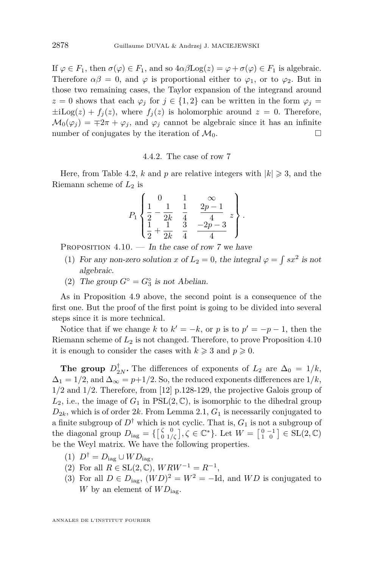<span id="page-40-0"></span>If  $\varphi \in F_1$ , then  $\sigma(\varphi) \in F_1$ , and so  $4\alpha\beta\text{Log}(z) = \varphi + \sigma(\varphi) \in F_1$  is algebraic. Therefore  $\alpha\beta = 0$ , and  $\varphi$  is proportional either to  $\varphi_1$ , or to  $\varphi_2$ . But in those two remaining cases, the Taylor expansion of the integrand around  $z = 0$  shows that each  $\varphi_j$  for  $j \in \{1,2\}$  can be written in the form  $\varphi_j =$  $\pm$ iLog(*z*) +  $f_i(z)$ , where  $f_i(z)$  is holomorphic around  $z = 0$ . Therefore,  $M_0(\varphi_i) = \pm 2\pi + \varphi_i$ , and  $\varphi_i$  cannot be algebraic since it has an infinite number of conjugates by the iteration of  $\mathcal{M}_0$ .

#### 4.4.2. The case of row 7

Here, from Table [4.2,](#page-39-0) *k* and *p* are relative integers with  $|k| \ge 3$ , and the Riemann scheme of *L*<sup>2</sup> is

$$
P_1\left\{\begin{array}{ccc|cc}0&1&\infty&\\ \frac{1}{2}-\frac{1}{2k}&\frac{1}{4}&\frac{2p-1}{4}&\\ \frac{1}{2}+\frac{1}{2k}&\frac{3}{4}&\frac{-2p-3}{4}\end{array}\right\}.
$$

PROPOSITION  $4.10.$  — In the case of row 7 we have

- (1) For any non-zero solution *x* of  $L_2 = 0$ , the integral  $\varphi = \int s x^2$  is not algebraic.
- (2) The group  $G^{\circ} = G_3^{\circ}$  is not Abelian.

As in Proposition [4.9](#page-39-0) above, the second point is a consequence of the first one. But the proof of the first point is going to be divided into several steps since it is more technical.

Notice that if we change *k* to  $k' = -k$ , or *p* is to  $p' = -p - 1$ , then the Riemann scheme of *L*<sup>2</sup> is not changed. Therefore, to prove Proposition 4.10 it is enough to consider the cases with  $k \geqslant 3$  and  $p \geqslant 0$ .

**The group**  $D_{2N}^{\dagger}$ . The differences of exponents of  $L_2$  are  $\Delta_0 = 1/k$ ,  $\Delta_1 = 1/2$ , and  $\Delta_\infty = p+1/2$ . So, the reduced exponents differences are  $1/k$ , 1*/*2 and 1*/*2. Therefore, from [\[12\]](#page-52-0) p.128-129, the projective Galois group of  $L_2$ , i.e., the image of  $G_1$  in  $PSL(2,\mathbb{C})$ , is isomorphic to the dihedral group  $D_{2k}$ , which is of order 2*k*. From Lemma [2.1,](#page-11-0)  $G_1$  is necessarily conjugated to a finite subgroup of  $D^{\dagger}$  which is not cyclic. That is,  $G_1$  is not a subgroup of the diagonal group  $D_{\text{lag}} = \{ \begin{bmatrix} \zeta & 0 \\ 0 & 1/\zeta \end{bmatrix}, \zeta \in \mathbb{C}^* \}$ . Let  $W = \begin{bmatrix} 0 & -1 \\ 1 & 0 \end{bmatrix} \in SL(2, \mathbb{C})$ be the Weyl matrix. We have the following properties.

- $(D^{\dagger} = D_{\text{lag}} \cup WD_{\text{lag}})$
- (2) For all  $R \in SL(2, \mathbb{C})$ ,  $WRW^{-1} = R^{-1}$ ,
- (3) For all  $D \in D_{\text{lag}}$ ,  $(WD)^2 = W^2 = -\text{Id}$ , and  $WD$  is conjugated to *W* by an element of  $WD_{\text{lag}}$ .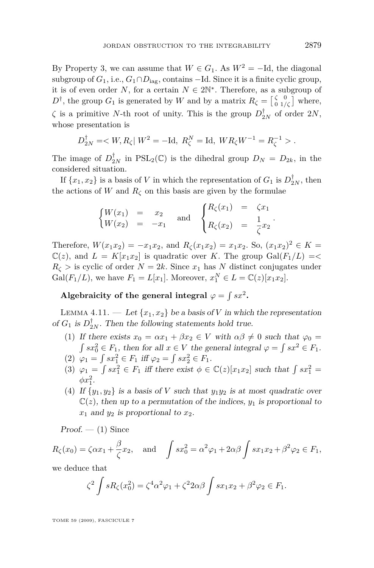<span id="page-41-0"></span>By Property 3, we can assume that  $W \in G_1$ . As  $W^2 = -Id$ , the diagonal subgroup of  $G_1$ , i.e.,  $G_1 \cap D_{\text{iag}}$ , contains  $-\text{Id}$ . Since it is a finite cyclic group, it is of even order *N*, for a certain  $N \in 2\mathbb{N}^*$ . Therefore, as a subgroup of  $D^{\dagger}$ , the group  $G_1$  is generated by *W* and by a matrix  $R_{\zeta} = \begin{bmatrix} \zeta & 0 \\ 0 & 1/\zeta \end{bmatrix}$  where, *ζ* is a primitive *N*-th root of unity. This is the group  $D_{2N}^{\dagger}$  of order  $2N$ , whose presentation is

$$
D_{2N}^{\dagger} = \langle W, R_{\zeta} | W^2 = -\text{Id}, R_{\zeta}^N = \text{Id}, WR_{\zeta}W^{-1} = R_{\zeta}^{-1} >.
$$

The image of  $D_{2N}^{\dagger}$  in PSL<sub>2</sub>(C) is the dihedral group  $D_N = D_{2k}$ , in the considered situation.

If  $\{x_1, x_2\}$  is a basis of *V* in which the representation of  $G_1$  is  $D_{2N}^{\dagger}$ , then the actions of  $W$  and  $R_\zeta$  on this basis are given by the formulae

$$
\begin{cases}\nW(x_1) = x_2 \\
W(x_2) = -x_1\n\end{cases} \text{ and } \begin{cases}\nR_{\zeta}(x_1) = \zeta x_1 \\
R_{\zeta}(x_2) = \frac{1}{\zeta} x_2\n\end{cases}.
$$

Therefore,  $W(x_1x_2) = -x_1x_2$ , and  $R_\zeta(x_1x_2) = x_1x_2$ . So,  $(x_1x_2)^2 \in K$  $\mathbb{C}(z)$ , and  $L = K[x_1x_2]$  is quadratic over *K*. The group  $Gal(F_1/L) = \langle$  $R_{\zeta}$  > is cyclic of order  $N = 2k$ . Since  $x_1$  has *N* distinct conjugates under Gal( $F_1/L$ ), we have  $F_1 = L[x_1]$ . Moreover,  $x_1^N \in L = \mathbb{C}(z)[x_1x_2]$ .

Algebraicity of the general integral  $\varphi = \int sx^2$ .

LEMMA 4.11. — Let  $\{x_1, x_2\}$  be a basis of *V* in which the representation of  $G_1$  is  $D_{2N}^{\dagger}$ . Then the following statements hold true.

- (1) If there exists  $x_0 = \alpha x_1 + \beta x_2 \in V$  with  $\alpha \beta \neq 0$  such that  $\varphi_0 =$  $\int sx_0^2 \in F_1$ , then for all  $x \in V$  the general integral  $\varphi = \int sx^2 \in F_1$ .
- (2)  $\varphi_1 = \int sx_1^2 \in F_1 \text{ iff } \varphi_2 = \int sx_2^2 \in F_1.$
- (3)  $\varphi_1 = \int sx_1^2 \in F_1$  iff there exist  $\phi \in \mathbb{C}(z)[x_1x_2]$  such that  $\int sx_1^2 =$  $\phi x_1^2$ .
- (4) If  $\{y_1, y_2\}$  is a basis of *V* such that  $y_1y_2$  is at most quadratic over  $\mathbb{C}(z)$ , then up to a permutation of the indices,  $y_1$  is proportional to  $x_1$  and  $y_2$  is proportional to  $x_2$ .

 $Proof. - (1)$  Since

$$
R_{\zeta}(x_0) = \zeta \alpha x_1 + \frac{\beta}{\zeta} x_2
$$
, and  $\int s x_0^2 = \alpha^2 \varphi_1 + 2\alpha \beta \int s x_1 x_2 + \beta^2 \varphi_2 \in F_1$ ,

we deduce that

$$
\zeta^2 \int sR_{\zeta}(x_0^2) = \zeta^4 \alpha^2 \varphi_1 + \zeta^2 2\alpha \beta \int s x_1 x_2 + \beta^2 \varphi_2 \in F_1.
$$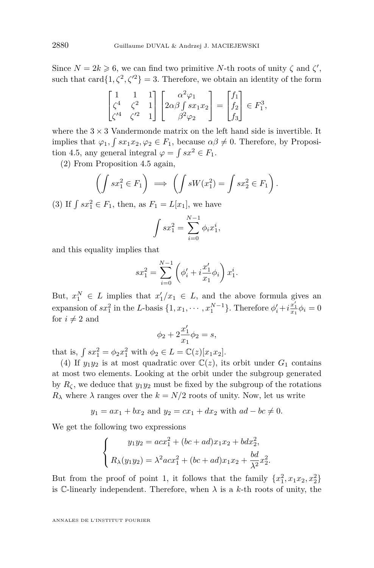Since  $N = 2k \geq 6$ , we can find two primitive *N*-th roots of unity  $\zeta$  and  $\zeta'$ , such that card $\{1, \zeta^2, \zeta^2\} = 3$ . Therefore, we obtain an identity of the form

$$
\begin{bmatrix} 1 & 1 & 1 \ \zeta^4 & \zeta^2 & 1 \ \zeta'^4 & \zeta'^2 & 1 \end{bmatrix} \begin{bmatrix} \alpha^2 \varphi_1 \\ 2\alpha \beta \int sx_1 x_2 \\ \beta^2 \varphi_2 \end{bmatrix} = \begin{bmatrix} f_1 \\ f_2 \\ f_3 \end{bmatrix} \in F_1^3,
$$

where the  $3 \times 3$  Vandermonde matrix on the left hand side is invertible. It implies that  $\varphi_1$ ,  $\int sx_1x_2, \varphi_2 \in F_1$ , because  $\alpha\beta \neq 0$ . Therefore, by Proposi-tion [4.5,](#page-32-0) any general integral  $\varphi = \int sx^2 \in F_1$ .

(2) From Proposition [4.5](#page-32-0) again,

$$
\left(\int sx_1^2 \in F_1\right) \implies \left(\int sW(x_1^2) = \int sx_2^2 \in F_1\right).
$$

(3) If  $\int s x_1^2 \in F_1$ , then, as  $F_1 = L[x_1]$ , we have

$$
\int sx_1^2 = \sum_{i=0}^{N-1} \phi_i x_1^i,
$$

and this equality implies that

$$
sx_1^2 = \sum_{i=0}^{N-1} \left( \phi'_i + i \frac{x'_1}{x_1} \phi_i \right) x_1^i.
$$

But,  $x_1^N \in L$  implies that  $x_1'/x_1 \in L$ , and the above formula gives an expansion of  $sx_1^2$  in the L-basis  $\{1, x_1, \cdots, x_1^{N-1}\}$ . Therefore  $\phi'_i + i\frac{x'_1}{x_1}\phi_i = 0$ for  $i \neq 2$  and

$$
\phi_2 + 2\frac{x_1'}{x_1}\phi_2 = s,
$$

that is,  $\int sx_1^2 = \phi_2 x_1^2$  with  $\phi_2 \in L = \mathbb{C}(z)[x_1 x_2]$ .

(4) If  $y_1y_2$  is at most quadratic over  $\mathbb{C}(z)$ , its orbit under  $G_1$  contains at most two elements. Looking at the orbit under the subgroup generated by  $R_\zeta$ , we deduce that  $y_1y_2$  must be fixed by the subgroup of the rotations  $R_{\lambda}$  where  $\lambda$  ranges over the  $k = N/2$  roots of unity. Now, let us write

$$
y_1 = ax_1 + bx_2
$$
 and  $y_2 = cx_1 + dx_2$  with  $ad - bc \neq 0$ .

We get the following two expressions

$$
\begin{cases}\ny_1y_2 = acx_1^2 + (bc + ad)x_1x_2 + bdx_2^2, \\
R_\lambda(y_1y_2) = \lambda^2 acx_1^2 + (bc + ad)x_1x_2 + \frac{bd}{\lambda^2}x_2^2.\n\end{cases}
$$

But from the proof of point 1, it follows that the family  $\{x_1^2, x_1x_2, x_2^2\}$ is C-linearly independent. Therefore, when  $\lambda$  is a  $k$ -th roots of unity, the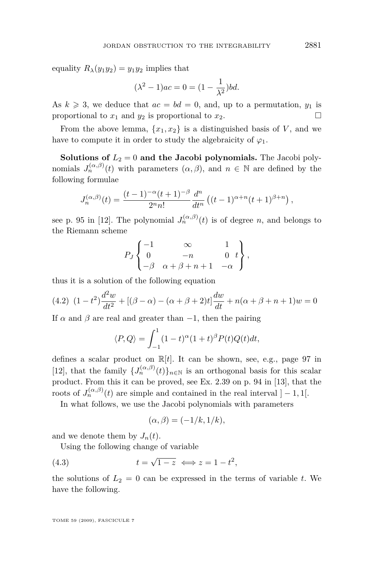<span id="page-43-0"></span>equality  $R_{\lambda}(y_1y_2) = y_1y_2$  implies that

$$
(\lambda^2 - 1)ac = 0 = (1 - \frac{1}{\lambda^2})bd.
$$

As  $k \geq 3$ , we deduce that  $ac = bd = 0$ , and, up to a permutation,  $y_1$  is proportional to  $x_1$  and  $y_2$  is proportional to  $x_2$ .

From the above lemma,  $\{x_1, x_2\}$  is a distinguished basis of *V*, and we have to compute it in order to study the algebraicity of  $\varphi_1$ .

**Solutions of**  $L_2 = 0$  **and the Jacobi polynomials.** The Jacobi polynomials  $J_n^{(\alpha,\beta)}(t)$  with parameters  $(\alpha,\beta)$ , and  $n \in \mathbb{N}$  are defined by the following formulae

$$
J_n^{(\alpha,\beta)}(t) = \frac{(t-1)^{-\alpha}(t+1)^{-\beta}}{2^n n!} \frac{d^n}{dt^n} \left( (t-1)^{\alpha+n}(t+1)^{\beta+n} \right),
$$

see p. 95 in [\[12\]](#page-52-0). The polynomial  $J_n^{(\alpha,\beta)}(t)$  is of degree *n*, and belongs to the Riemann scheme

$$
P_J\begin{Bmatrix} -1 & \infty & 1\\ 0 & -n & 0 & t\\ -\beta & \alpha + \beta + n + 1 & -\alpha \end{Bmatrix},
$$

thus it is a solution of the following equation

(4.2) 
$$
(1-t^2)\frac{d^2w}{dt^2} + [(\beta - \alpha) - (\alpha + \beta + 2)t] \frac{dw}{dt} + n(\alpha + \beta + n + 1)w = 0
$$

If  $\alpha$  and  $\beta$  are real and greater than  $-1$ , then the pairing

$$
\langle P, Q \rangle = \int_{-1}^{1} (1-t)^{\alpha} (1+t)^{\beta} P(t) Q(t) dt,
$$

defines a scalar product on R[*t*]. It can be shown, see, e.g., page 97 in [\[12\]](#page-52-0), that the family  $\{J_n^{(\alpha,\beta)}(t)\}_{n\in\mathbb{N}}$  is an orthogonal basis for this scalar product. From this it can be proved, see Ex. 2.39 on p. 94 in [\[13\]](#page-52-0), that the roots of  $J_n^{(\alpha,\beta)}(t)$  are simple and contained in the real interval  $]-1,1[$ .

In what follows, we use the Jacobi polynomials with parameters

$$
(\alpha, \beta) = (-1/k, 1/k),
$$

and we denote them by  $J_n(t)$ .

Using the following change of variable

(4.3) 
$$
t = \sqrt{1-z} \iff z = 1 - t^2,
$$

the solutions of  $L_2 = 0$  can be expressed in the terms of variable *t*. We have the following.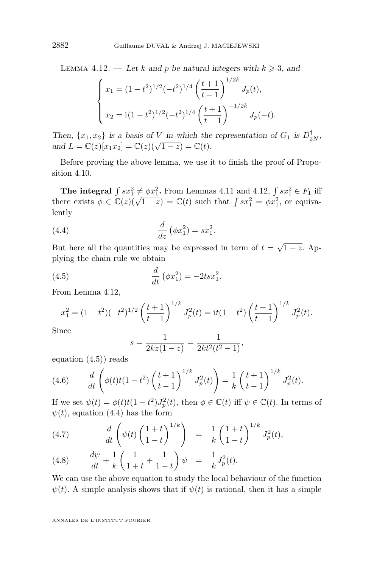<span id="page-44-0"></span>LEMMA 4.12. — Let *k* and *p* be natural integers with  $k \geq 3$ , and

$$
\begin{cases}\nx_1 = (1 - t^2)^{1/2} (-t^2)^{1/4} \left(\frac{t+1}{t-1}\right)^{1/2k} J_p(t), \\
x_2 = i(1 - t^2)^{1/2} (-t^2)^{1/4} \left(\frac{t+1}{t-1}\right)^{-1/2k} J_p(-t).\n\end{cases}
$$

Then,  $\{x_1, x_2\}$  is a basis of *V* in which the representation of  $G_1$  is  $D_{2N}^{\dagger}$ ,  $\text{and } L = \mathbb{C}(z)[x_1x_2] = \mathbb{C}(z)(\sqrt{1-z}) = \mathbb{C}(t).$ 

Before proving the above lemma, we use it to finish the proof of Proposition [4.10.](#page-40-0)

**The integral**  $\int sx_1^2 \neq \phi x_1^2$ . From Lemmas [4.11](#page-41-0) and [4.12,](#page-43-0)  $\int sx_1^2 \in F_1$  iff there exists  $\phi \in \mathbb{C}(z)(\sqrt{1-z}) = \mathbb{C}(t)$  such that  $\int sx_1^2 = \phi x_1^2$ , or equivalently

(4.4) 
$$
\frac{d}{dz} (\phi x_1^2) = sx_1^2.
$$

But here all the quantities may be expressed in term of  $t = \sqrt{1-z}$ . Applying the chain rule we obtain

(4.5) 
$$
\frac{d}{dt} (\phi x_1^2) = -2tsx_1^2.
$$

From Lemma [4.12,](#page-43-0)

$$
x_1^2 = (1 - t^2)(-t^2)^{1/2} \left(\frac{t+1}{t-1}\right)^{1/k} J_p^2(t) = \mathrm{i}t(1 - t^2) \left(\frac{t+1}{t-1}\right)^{1/k} J_p^2(t).
$$

Since

$$
s = \frac{1}{2kz(1-z)} = \frac{1}{2kt^2(t^2-1)},
$$

equation (4.5)) reads

(4.6) 
$$
\frac{d}{dt}\left(\phi(t)t(1-t^2)\left(\frac{t+1}{t-1}\right)^{1/k}J_p^2(t)\right) = \frac{1}{k}\left(\frac{t+1}{t-1}\right)^{1/k}J_p^2(t).
$$

If we set  $\psi(t) = \phi(t)t(1-t^2)J_p^2(t)$ , then  $\phi \in \mathbb{C}(t)$  iff  $\psi \in \mathbb{C}(t)$ . In terms of  $\psi(t)$ , equation (4.4) has the form

(4.7) 
$$
\frac{d}{dt}\left(\psi(t)\left(\frac{1+t}{1-t}\right)^{1/k}\right) = \frac{1}{k}\left(\frac{1+t}{1-t}\right)^{1/k}J_p^2(t),
$$

(4.8) 
$$
\frac{d\psi}{dt} + \frac{1}{k} \left( \frac{1}{1+t} + \frac{1}{1-t} \right) \psi = \frac{1}{k} J_p^2(t).
$$

We can use the above equation to study the local behaviour of the function  $\psi(t)$ . A simple analysis shows that if  $\psi(t)$  is rational, then it has a simple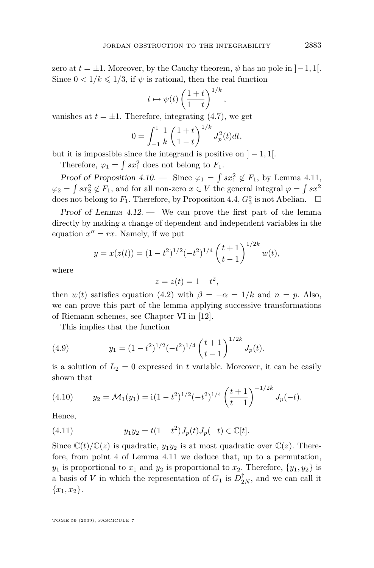zero at  $t = \pm 1$ . Moreover, by the Cauchy theorem,  $\psi$  has no pole in  $]-1,1[$ . Since  $0 < 1/k \leq 1/3$ , if  $\psi$  is rational, then the real function

$$
t \mapsto \psi(t) \left(\frac{1+t}{1-t}\right)^{1/k}
$$

*,*

vanishes at  $t = \pm 1$ . Therefore, integrating [\(4.7\)](#page-44-0), we get

$$
0 = \int_{-1}^{1} \frac{1}{k} \left( \frac{1+t}{1-t} \right)^{1/k} J_p^{2}(t) dt,
$$

but it is impossible since the integrand is positive on  $]-1,1[$ .

Therefore,  $\varphi_1 = \int sx_1^2$  does not belong to  $F_1$ .

Proof of Proposition [4.10.](#page-40-0) — Since  $\varphi_1 = \int sx_1^2 \notin F_1$ , by Lemma [4.11,](#page-41-0)  $\varphi_2 = \int sx_2^2 \notin F_1$ , and for all non-zero  $x \in V$  the general integral  $\varphi = \int sx^2$ does not belong to  $F_1$ . Therefore, by Proposition [4.4,](#page-31-0)  $G_3^{\circ}$  is not Abelian.  $\Box$ 

Proof of Lemma  $4.12$ . — We can prove the first part of the lemma directly by making a change of dependent and independent variables in the equation  $x'' = rx$ . Namely, if we put

$$
y = x(z(t)) = (1 - t^2)^{1/2} (-t^2)^{1/4} \left(\frac{t+1}{t-1}\right)^{1/2k} w(t),
$$

where

$$
z = z(t) = 1 - t^2,
$$

then  $w(t)$  satisfies equation [\(4.2\)](#page-43-0) with  $\beta = -\alpha = 1/k$  and  $n = p$ . Also, we can prove this part of the lemma applying successive transformations of Riemann schemes, see Chapter VI in [\[12\]](#page-52-0).

This implies that the function

(4.9) 
$$
y_1 = (1 - t^2)^{1/2} (-t^2)^{1/4} \left(\frac{t+1}{t-1}\right)^{1/2k} J_p(t).
$$

is a solution of  $L_2 = 0$  expressed in *t* variable. Moreover, it can be easily shown that

(4.10) 
$$
y_2 = \mathcal{M}_1(y_1) = \mathrm{i} (1 - t^2)^{1/2} (-t^2)^{1/4} \left(\frac{t+1}{t-1}\right)^{-1/2k} J_p(-t).
$$

Hence,

(4.11) 
$$
y_1 y_2 = t(1 - t^2)J_p(t)J_p(-t) \in \mathbb{C}[t].
$$

Since  $\mathbb{C}(t)/\mathbb{C}(z)$  is quadratic,  $y_1y_2$  is at most quadratic over  $\mathbb{C}(z)$ . Therefore, from point 4 of Lemma [4.11](#page-41-0) we deduce that, up to a permutation, *y*<sub>1</sub> is proportional to  $x_1$  and  $y_2$  is proportional to  $x_2$ . Therefore,  $\{y_1, y_2\}$  is a basis of *V* in which the representation of  $G_1$  is  $D_{2N}^{\dagger}$ , and we can call it *{x*1*, x*2*}*.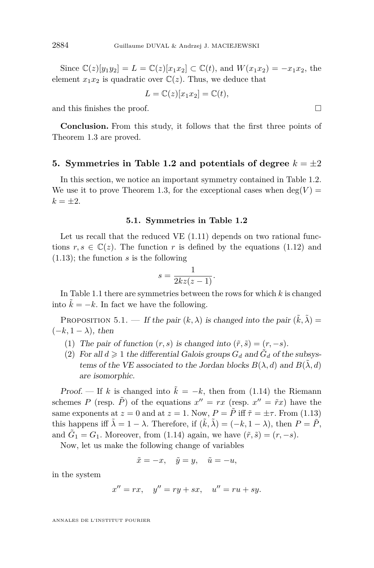Since  $\mathbb{C}(z)[y_1y_2] = L = \mathbb{C}(z)[x_1x_2] \subset \mathbb{C}(t)$ , and  $W(x_1x_2) = -x_1x_2$ , the element  $x_1x_2$  is quadratic over  $\mathbb{C}(z)$ . Thus, we deduce that

$$
L = \mathbb{C}(z)[x_1x_2] = \mathbb{C}(t),
$$

and this finishes the proof.  $\Box$ 

**Conclusion.** From this study, it follows that the first three points of Theorem [1.3](#page-4-0) are proved.

#### **5.** Symmetries in Table [1.2](#page-2-0) and potentials of degree  $k = \pm 2$

In this section, we notice an important symmetry contained in Table [1.2.](#page-2-0) We use it to prove Theorem [1.3,](#page-4-0) for the exceptional cases when  $\deg(V)$  =  $k = \pm 2.$ 

#### **5.1. Symmetries in Table [1.2](#page-2-0)**

Let us recall that the reduced VE [\(1.11\)](#page-6-0) depends on two rational functions  $r, s \in \mathbb{C}(z)$ . The function r is defined by the equations [\(1.12\)](#page-6-0) and [\(1.13\)](#page-6-0); the function *s* is the following

$$
s = \frac{1}{2kz(z-1)}.
$$

In Table [1.1](#page-3-0) there are symmetries between the rows for which *k* is changed into  $k = -k$ . In fact we have the following.

PROPOSITION 5.1. — If the pair  $(k, \lambda)$  is changed into the pair  $(\tilde{k}, \tilde{\lambda}) =$  $(-k, 1 - \lambda)$ , then

- (1) The pair of function  $(r, s)$  is changed into  $(\tilde{r}, \tilde{s}) = (r, -s)$ .
- (2) For all  $d \geq 1$  the differential Galois groups  $G_d$  and  $\tilde{G}_d$  of the subsystems of the VE associated to the Jordan blocks  $B(\lambda, d)$  and  $B(\lambda, d)$ are isomorphic.

Proof. — If k is changed into  $\tilde{k} = -k$ , then from [\(1.14\)](#page-6-0) the Riemann schemes *P* (resp.  $\tilde{P}$ ) of the equations  $x'' = rx$  (resp.  $x'' = \tilde{r}x$ ) have the same exponents at  $z = 0$  and at  $z = 1$ . Now,  $P = \tilde{P}$  iff  $\tilde{\tau} = \pm \tau$ . From [\(1.13\)](#page-6-0) this happens iff  $\tilde{\lambda} = 1 - \lambda$ . Therefore, if  $(\tilde{k}, \tilde{\lambda}) = (-k, 1 - \lambda)$ , then  $P = \tilde{P}$ , and  $\tilde{G}_1 = G_1$ . Moreover, from [\(1.14\)](#page-6-0) again, we have  $(\tilde{r}, \tilde{s}) = (r, -s)$ .

Now, let us make the following change of variables

$$
\tilde{x} = -x, \quad \tilde{y} = y, \quad \tilde{u} = -u,
$$

in the system

$$
x'' = rx, \quad y'' = ry + sx, \quad u'' = ru + sy.
$$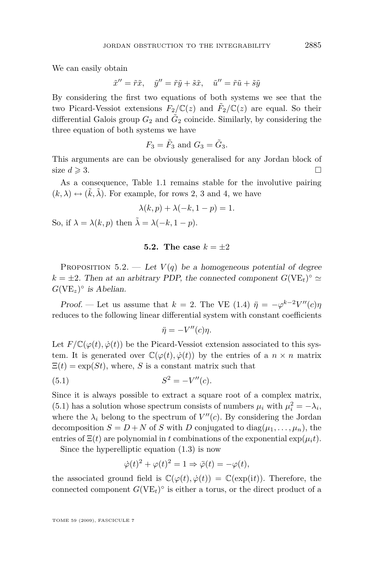We can easily obtain

$$
\tilde{x}'' = \tilde{r}\tilde{x}, \quad \tilde{y}'' = \tilde{r}\tilde{y} + \tilde{s}\tilde{x}, \quad \tilde{u}'' = \tilde{r}\tilde{u} + \tilde{s}\tilde{y}
$$

By considering the first two equations of both systems we see that the two Picard-Vessiot extensions  $F_2/\mathbb{C}(z)$  and  $\tilde{F}_2/\mathbb{C}(z)$  are equal. So their differential Galois group  $G_2$  and  $\tilde{G}_2$  coincide. Similarly, by considering the three equation of both systems we have

$$
F_3 = \tilde{F}_3 \text{ and } G_3 = \tilde{G}_3.
$$

This arguments are can be obviously generalised for any Jordan block of size  $d \geqslant 3$ .

As a consequence, Table [1.1](#page-3-0) remains stable for the involutive pairing  $(k, \lambda) \leftrightarrow (\tilde{k}, \tilde{\lambda})$ . For example, for rows 2, 3 and 4, we have

$$
\lambda(k, p) + \lambda(-k, 1 - p) = 1.
$$

So, if  $\lambda = \lambda(k, p)$  then  $\tilde{\lambda} = \lambda(-k, 1-p)$ .

#### **5.2.** The case  $k = \pm 2$

PROPOSITION 5.2. — Let  $V(q)$  be a homogeneous potential of degree  $k = \pm 2$ . Then at an arbitrary PDP, the connected component  $G(VE_t)^\circ \simeq$  $G(VE_z)^\circ$  *is Abelian.* 

Proof. — Let us assume that  $k = 2$ . The VE [\(1.4\)](#page-2-0)  $\ddot{\eta} = -\varphi^{k-2}V''(c)\eta$ reduces to the following linear differential system with constant coefficients

$$
\ddot{\eta} = -V''(c)\eta.
$$

Let  $F/\mathbb{C}(\varphi(t), \dot{\varphi}(t))$  be the Picard-Vessiot extension associated to this system. It is generated over  $\mathbb{C}(\varphi(t), \dot{\varphi}(t))$  by the entries of a  $n \times n$  matrix  $\Xi(t) = \exp(St)$ , where, *S* is a constant matrix such that

(5.1) 
$$
S^2 = -V''(c).
$$

Since it is always possible to extract a square root of a complex matrix, (5.1) has a solution whose spectrum consists of numbers  $\mu_i$  with  $\mu_i^2 = -\lambda_i$ , where the  $\lambda_i$  belong to the spectrum of  $V''(c)$ . By considering the Jordan decomposition  $S = D + N$  of *S* with *D* conjugated to diag $(\mu_1, \ldots, \mu_n)$ , the entries of  $\Xi(t)$  are polynomial in *t* combinations of the exponential  $\exp(\mu_i t)$ .

Since the hyperelliptic equation [\(1.3\)](#page-2-0) is now

$$
\dot{\varphi}(t)^2 + \varphi(t)^2 = 1 \Rightarrow \ddot{\varphi}(t) = -\varphi(t),
$$

the associated ground field is  $\mathbb{C}(\varphi(t), \dot{\varphi}(t)) = \mathbb{C}(\exp(it))$ . Therefore, the connected component  $G(VE_t)^\circ$  is either a torus, or the direct product of a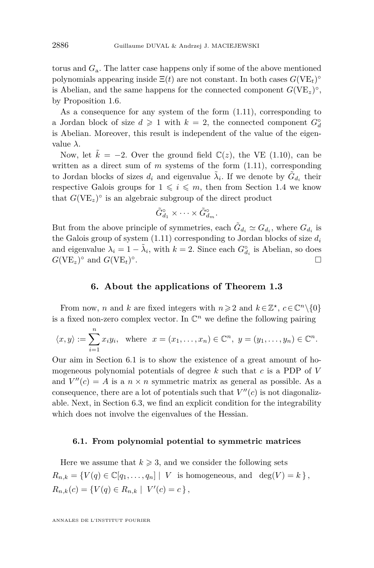torus and *G*a. The latter case happens only if some of the above mentioned polynomials appearing inside  $\Xi(t)$  are not constant. In both cases  $G(VE_t)^\circ$ is Abelian, and the same happens for the connected component  $G(VE_z)^\circ$ , by Proposition [1.6.](#page-9-0)

As a consequence for any system of the form [\(1.11\)](#page-6-0), corresponding to a Jordan block of size  $d \geq 1$  with  $k = 2$ , the connected component  $G_d^{\circ}$ is Abelian. Moreover, this result is independent of the value of the eigenvalue *λ*.

Now, let  $\tilde{k} = -2$ . Over the ground field  $\mathbb{C}(z)$ , the VE [\(1.10\)](#page-6-0), can be written as a direct sum of *m* systems of the form  $(1.11)$ , corresponding to Jordan blocks of sizes  $d_i$  and eigenvalue  $\tilde{\lambda}_i$ . If we denote by  $\tilde{G}_{d_i}$  their respective Galois groups for  $1 \leq i \leq m$ , then from Section 1.4 we know that  $G(VE_z)^\circ$  is an algebraic subgroup of the direct product

$$
\tilde{G}_{d_1}^{\circ} \times \cdots \times \tilde{G}_{d_m}^{\circ}.
$$

But from the above principle of symmetries, each  $\tilde{G}_{d_i} \simeq G_{d_i}$ , where  $G_{d_i}$  is the Galois group of system [\(1.11\)](#page-6-0) corresponding to Jordan blocks of size *d<sup>i</sup>* and eigenvalue  $\lambda_i = 1 - \tilde{\lambda}_i$ , with  $k = 2$ . Since each  $G_{d_i}^{\circ}$  is Abelian, so does  $G(VE_z)^\circ$  and  $G(VE_t)^\circ$ .

#### **6. About the applications of Theorem [1.3](#page-4-0)**

From now, *n* and *k* are fixed integers with  $n \geq 2$  and  $k \in \mathbb{Z}^*$ ,  $c \in \mathbb{C}^n \setminus \{0\}$ is a fixed non-zero complex vector. In  $\mathbb{C}^n$  we define the following pairing

$$
\langle x, y \rangle := \sum_{i=1}^{n} x_i y_i
$$
, where  $x = (x_1, \dots, x_n) \in \mathbb{C}^n$ ,  $y = (y_1, \dots, y_n) \in \mathbb{C}^n$ .

Our aim in Section 6.1 is to show the existence of a great amount of homogeneous polynomial potentials of degree *k* such that *c* is a PDP of *V* and  $V''(c) = A$  is a  $n \times n$  symmetric matrix as general as possible. As a consequence, there are a lot of potentials such that  $V''(c)$  is not diagonalizable. Next, in Section 6.3, we find an explicit condition for the integrability which does not involve the eigenvalues of the Hessian.

#### **6.1. From polynomial potential to symmetric matrices**

Here we assume that  $k \geqslant 3$ , and we consider the following sets  $R_{n,k} = \{V(q) \in \mathbb{C}[q_1, \ldots, q_n] \mid V \text{ is homogeneous, and } \deg(V) = k\},\$  $R_{n,k}(c) = \{V(q) \in R_{n,k} \mid V'(c) = c\},\$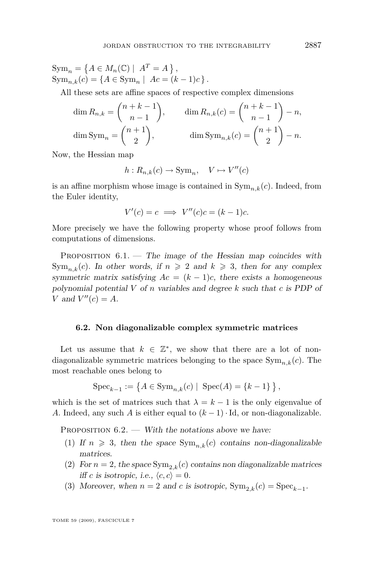<span id="page-49-0"></span> $\text{Sym}_n = \left\{ A \in M_n(\mathbb{C}) \mid A^T = A \right\},$  $\text{Sym}_{n,k}(c) = \{A \in \text{Sym}_n \mid Ac = (k-1)c\}.$ 

All these sets are affine spaces of respective complex dimensions

$$
\dim R_{n,k} = \binom{n+k-1}{n-1}, \qquad \dim R_{n,k}(c) = \binom{n+k-1}{n-1} - n,
$$

$$
\dim \text{Sym}_n = \binom{n+1}{2}, \qquad \dim \text{Sym}_{n,k}(c) = \binom{n+1}{2} - n.
$$

Now, the Hessian map

$$
h: R_{n,k}(c) \to \text{Sym}_n, \quad V \mapsto V''(c)
$$

is an affine morphism whose image is contained in  $Sym_n_k(c)$ . Indeed, from the Euler identity,

$$
V'(c) = c \implies V''(c)c = (k-1)c.
$$

More precisely we have the following property whose proof follows from computations of dimensions.

PROPOSITION  $6.1$ . — The image of the Hessian map coincides with  $Sym_{n,k}(c)$ . In other words, if  $n \geq 2$  and  $k \geq 3$ , then for any complex symmetric matrix satisfying  $Ac = (k - 1)c$ , there exists a homogeneous polynomial potential *V* of *n* variables and degree *k* such that *c* is PDP of *V* and  $V''(c) = A$ .

#### **6.2. Non diagonalizable complex symmetric matrices**

Let us assume that  $k \in \mathbb{Z}^*$ , we show that there are a lot of nondiagonalizable symmetric matrices belonging to the space  $\text{Sym}_{n,k}(c)$ . The most reachable ones belong to

$$
Spec_{k-1} := \{ A \in Sym_{n,k}(c) \mid Spec(A) = \{k-1\} \},
$$

which is the set of matrices such that  $\lambda = k - 1$  is the only eigenvalue of *A*. Indeed, any such *A* is either equal to  $(k-1) \cdot$  Id, or non-diagonalizable.

PROPOSITION  $6.2.$  — With the notations above we have:

- (1) If  $n \geq 3$ , then the space  $\text{Sym}_{n,k}(c)$  contains non-diagonalizable matrices.
- (2) For  $n = 2$ , the space  $\text{Sym}_{2,k}(c)$  contains non diagonalizable matrices iff *c* is isotropic, i.e.,  $\langle c, c \rangle = 0$ .
- (3) Moreover, when  $n = 2$  and *c* is isotropic,  $\text{Sym}_{2,k}(c) = \text{Spec}_{k-1}$ .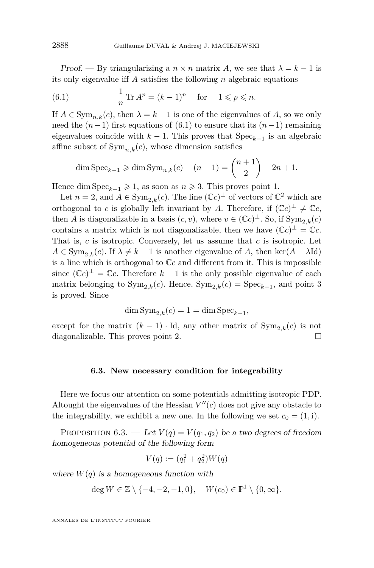Proof. — By triangularizing a  $n \times n$  matrix A, we see that  $\lambda = k - 1$  is its only eigenvalue iff *A* satisfies the following *n* algebraic equations

(6.1) 
$$
\frac{1}{n} \text{Tr } A^p = (k-1)^p \text{ for } 1 \leq p \leq n.
$$

If  $A \in \text{Sym}_{n,k}(c)$ , then  $\lambda = k-1$  is one of the eigenvalues of A, so we only need the  $(n-1)$  first equations of  $(6.1)$  to ensure that its  $(n-1)$  remaining eigenvalues coincide with  $k-1$ . This proves that  $Spec_{k-1}$  is an algebraic affine subset of  $Sym_{n,k}(c)$ , whose dimension satisfies

$$
\dim \text{Spec}_{k-1} \geq \dim \text{Sym}_{n,k}(c) - (n-1) = \binom{n+1}{2} - 2n + 1.
$$

Hence dim  $Spec_{k-1} \geq 1$ , as soon as  $n \geq 3$ . This proves point 1.

Let  $n = 2$ , and  $A \in \text{Sym}_{2,k}(c)$ . The line  $(\mathbb{C}c)^{\perp}$  of vectors of  $\mathbb{C}^2$  which are orthogonal to *c* is globally left invariant by *A*. Therefore, if  $({\mathbb{C}}c)^{\perp} \neq {\mathbb{C}}c$ , then *A* is diagonalizable in a basis  $(c, v)$ , where  $v \in (\mathbb{C}c)^{\perp}$ . So, if  $\text{Sym}_{2,k}(c)$ contains a matrix which is not diagonalizable, then we have  $(\mathbb{C}c)^{\perp} = \mathbb{C}c$ . That is, *c* is isotropic. Conversely, let us assume that *c* is isotropic. Let  $A \in \text{Sym}_{2k}(c)$ . If  $\lambda \neq k-1$  is another eigenvalue of *A*, then ker( $A - \lambda \text{Id}$ ) is a line which is orthogonal to C*c* and different from it. This is impossible since  $(\mathbb{C}c)^{\perp} = \mathbb{C}c$ . Therefore  $k-1$  is the only possible eigenvalue of each matrix belonging to  $\text{Sym}_{2,k}(c)$ . Hence,  $\text{Sym}_{2,k}(c) = \text{Spec}_{k-1}$ , and point 3 is proved. Since

$$
\dim \mathrm{Sym}_{2,k}(c)=1=\dim \mathrm{Spec}_{k-1},
$$

except for the matrix  $(k-1) \cdot \text{Id}$ , any other matrix of  $\text{Sym}_{2,k}(c)$  is not diagonalizable. This proves point 2.

#### **6.3. New necessary condition for integrability**

Here we focus our attention on some potentials admitting isotropic PDP. Altought the eigenvalues of the Hessian  $V''(c)$  does not give any obstacle to the integrability, we exhibit a new one. In the following we set  $c_0 = (1, i)$ .

PROPOSITION 6.3. — Let  $V(q) = V(q_1, q_2)$  be a two degrees of freedom homogeneous potential of the following form

$$
V(q) := (q_1^2 + q_2^2)W(q)
$$

where  $W(q)$  is a homogeneous function with

$$
\deg W \in \mathbb{Z} \setminus \{-4, -2, -1, 0\}, \quad W(c_0) \in \mathbb{P}^1 \setminus \{0, \infty\}.
$$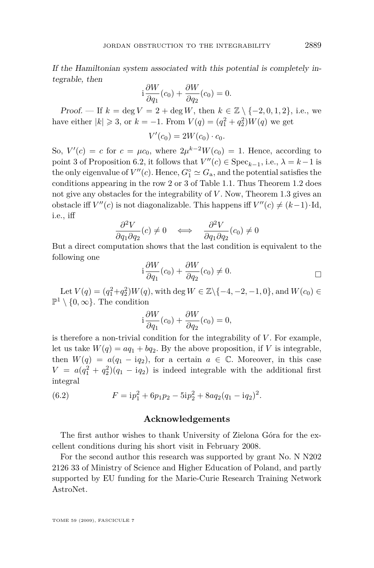If the Hamiltonian system associated with this potential is completely integrable, then

$$
i\frac{\partial W}{\partial q_1}(c_0) + \frac{\partial W}{\partial q_2}(c_0) = 0.
$$

Proof. — If  $k = \deg V = 2 + \deg W$ , then  $k \in \mathbb{Z} \setminus \{-2, 0, 1, 2\}$ , i.e., we have either  $|k| \ge 3$ , or  $k = -1$ . From  $V(q) = (q_1^2 + q_2^2)W(q)$  we get

$$
V'(c_0) = 2W(c_0) \cdot c_0.
$$

So,  $V'(c) = c$  for  $c = \mu c_0$ , where  $2\mu^{k-2}W(c_0) = 1$ . Hence, according to point 3 of Proposition [6.2,](#page-49-0) it follows that  $V''(c) \in \text{Spec}_{k-1}$ , i.e.,  $\lambda = k-1$  is the only eigenvalue of  $V''(c)$ . Hence,  $G^{\circ} \simeq G_{\rm a}$ , and the potential satisfies the conditions appearing in the row 2 or 3 of Table [1.1.](#page-3-0) Thus Theorem [1.2](#page-2-0) does not give any obstacles for the integrability of *V*. Now, Theorem [1.3](#page-4-0) gives an obstacle iff  $V''(c)$  is not diagonalizable. This happens iff  $V''(c) \neq (k-1) \cdot Id$ , i.e., iff

$$
\frac{\partial^2 V}{\partial q_1 \partial q_2}(c) \neq 0 \quad \Longleftrightarrow \quad \frac{\partial^2 V}{\partial q_1 \partial q_2}(c_0) \neq 0
$$

But a direct computation shows that the last condition is equivalent to the following one

$$
i\frac{\partial W}{\partial q_1}(c_0) + \frac{\partial W}{\partial q_2}(c_0) \neq 0.
$$

 $\text{Let } V(q) = (q_1^2 + q_2^2)W(q)$ , with deg  $W \in \mathbb{Z} \setminus \{-4, -2, -1, 0\}$ , and  $W(c_0) \in$  $\mathbb{P}^1 \setminus \{0, \infty\}$ . The condition

$$
i\frac{\partial W}{\partial q_1}(c_0) + \frac{\partial W}{\partial q_2}(c_0) = 0,
$$

is therefore a non-trivial condition for the integrability of  $V$ . For example, let us take  $W(q) = aq_1 + bq_2$ . By the above proposition, if *V* is integrable, then  $W(q) = a(q_1 - iq_2)$ , for a certain  $a \in \mathbb{C}$ . Moreover, in this case  $V = a(q_1^2 + q_2^2)(q_1 - iq_2)$  is indeed integrable with the additional first integral

(6.2) 
$$
F = ip_1^2 + 6p_1p_2 - 5ip_2^2 + 8aq_2(q_1 - iq_2)^2.
$$

#### **Acknowledgements**

The first author wishes to thank University of Zielona Góra for the excellent conditions during his short visit in February 2008.

For the second author this research was supported by grant No. N N202 2126 33 of Ministry of Science and Higher Education of Poland, and partly supported by EU funding for the Marie-Curie Research Training Network AstroNet.